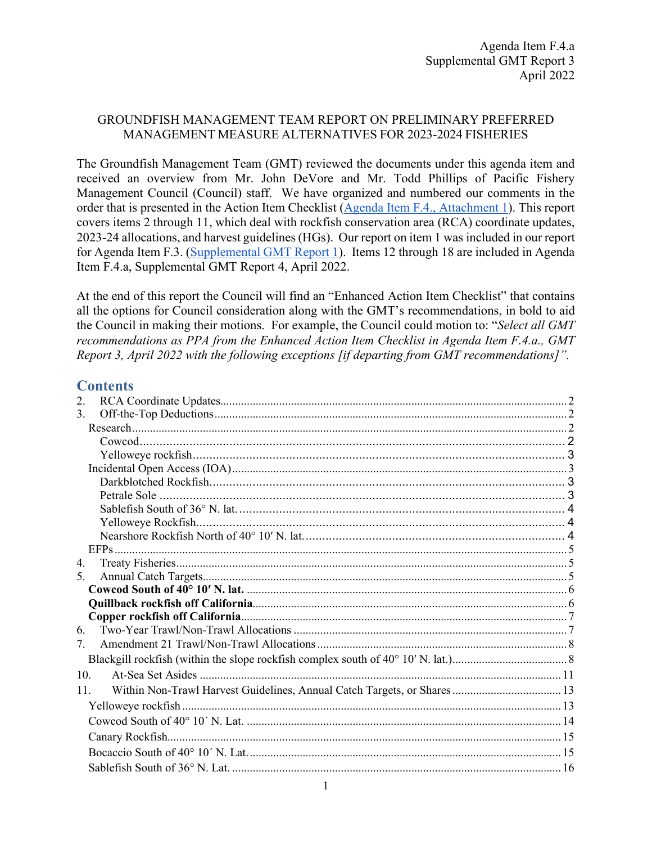### GROUNDFISH MANAGEMENT TEAM REPORT ON PRELIMINARY PREFERRED MANAGEMENT MEASURE ALTERNATIVES FOR 2023-2024 FISHERIES

The Groundfish Management Team (GMT) reviewed the documents under this agenda item and received an overview from Mr. John DeVore and Mr. Todd Phillips of Pacific Fishery Management Council (Council) staff. We have organized and numbered our comments in the order that is presented in the Action Item Checklist [\(Agenda Item F.4., Attachment 1\)](https://www.pcouncil.org/documents/2022/03/f-4-attachment-1-action-item-checklist.pdf/). This report covers items 2 through 11, which deal with rockfish conservation area (RCA) coordinate updates, 2023-24 allocations, and harvest guidelines (HGs). Our report on item 1 was included in our report for Agenda Item F.3. [\(Supplemental GMT Report 1\)](https://www.pcouncil.org/documents/2022/04/f-3-a-supplemental-gmt-report-1-4.pdf/). Items 12 through 18 are included in Agenda Item F.4.a, Supplemental GMT Report 4, April 2022.

At the end of this report the Council will find an "Enhanced Action Item Checklist" that contains all the options for Council consideration along with the GMT's recommendations, in bold to aid the Council in making their motions. For example, the Council could motion to: "*Select all GMT recommendations as PPA from the Enhanced Action Item Checklist in Agenda Item F.4.a., GMT Report 3, April 2022 with the following exceptions [if departing from GMT recommendations]".*

### **Contents**

| 2.             |
|----------------|
| 3.             |
|                |
|                |
|                |
|                |
|                |
|                |
|                |
|                |
|                |
|                |
| 4.             |
| 5 <sub>1</sub> |
|                |
|                |
|                |
| 6.             |
| 7.             |
|                |
| 10.            |
| 11.            |
|                |
|                |
|                |
|                |
|                |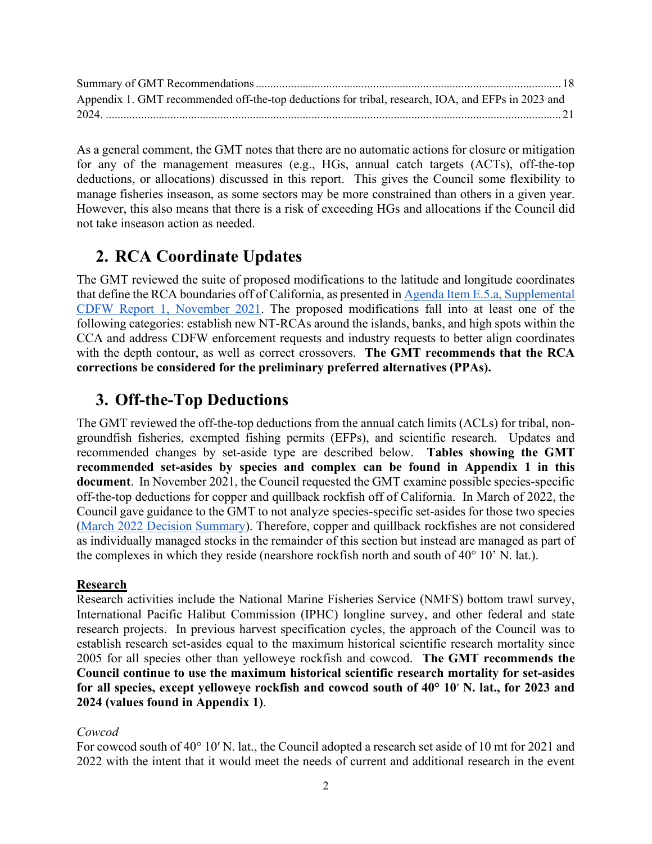| Appendix 1. GMT recommended off-the-top deductions for tribal, research, IOA, and EFPs in 2023 and |  |
|----------------------------------------------------------------------------------------------------|--|
|                                                                                                    |  |

As a general comment, the GMT notes that there are no automatic actions for closure or mitigation for any of the management measures (e.g., HGs, annual catch targets (ACTs), off-the-top deductions, or allocations) discussed in this report. This gives the Council some flexibility to manage fisheries inseason, as some sectors may be more constrained than others in a given year. However, this also means that there is a risk of exceeding HGs and allocations if the Council did not take inseason action as needed.

# <span id="page-1-0"></span>**2. RCA Coordinate Updates**

The GMT reviewed the suite of proposed modifications to the latitude and longitude coordinates that define the RCA boundaries off of California, as presented in [Agenda Item E.5.a, Supplemental](https://www.pcouncil.org/documents/2021/11/e-5-a-supplemental-cdfw-report-1.pdf/)  [CDFW Report 1, November 2021.](https://www.pcouncil.org/documents/2021/11/e-5-a-supplemental-cdfw-report-1.pdf/) The proposed modifications fall into at least one of the following categories: establish new NT-RCAs around the islands, banks, and high spots within the CCA and address CDFW enforcement requests and industry requests to better align coordinates with the depth contour, as well as correct crossovers. **The GMT recommends that the RCA corrections be considered for the preliminary preferred alternatives (PPAs).** 

# <span id="page-1-1"></span>**3. Off-the-Top Deductions**

The GMT reviewed the off-the-top deductions from the annual catch limits (ACLs) for tribal, nongroundfish fisheries, exempted fishing permits (EFPs), and scientific research. Updates and recommended changes by set-aside type are described below. **Tables showing the GMT recommended set-asides by species and complex can be found in Appendix 1 in this document**. In November 2021, the Council requested the GMT examine possible species-specific off-the-top deductions for copper and quillback rockfish off of California. In March of 2022, the Council gave guidance to the GMT to not analyze species-specific set-asides for those two species [\(March 2022 Decision Summary\)](https://www.pcouncil.org/march-2022-decision-summary-document/#groundfish-management-toc-7bdc2051-895a-4a25-a546-5184fe1abe91). Therefore, copper and quillback rockfishes are not considered as individually managed stocks in the remainder of this section but instead are managed as part of the complexes in which they reside (nearshore rockfish north and south of 40° 10' N. lat.).

## <span id="page-1-2"></span>**Research**

Research activities include the National Marine Fisheries Service (NMFS) bottom trawl survey, International Pacific Halibut Commission (IPHC) longline survey, and other federal and state research projects. In previous harvest specification cycles, the approach of the Council was to establish research set-asides equal to the maximum historical scientific research mortality since 2005 for all species other than yelloweye rockfish and cowcod. **The GMT recommends the Council continue to use the maximum historical scientific research mortality for set-asides for all species, except yelloweye rockfish and cowcod south of 40° 1[0](https://docs.google.com/document/d/1DIqz_aNEp1rLaMYcc5W_oqmyhVH0ODnvm7pe3DtZYbM/edit#heading=h.qlkk8fpqypwt)**′ **N. lat., for 2023 and 2024 (values found in Appendix 1)**.

## <span id="page-1-3"></span>*Cowcod*

For cowcod south of 40° 10′ N. lat., the Council adopted a research set aside of 10 mt for 2021 and 2022 with the intent that it would meet the needs of current and additional research in the event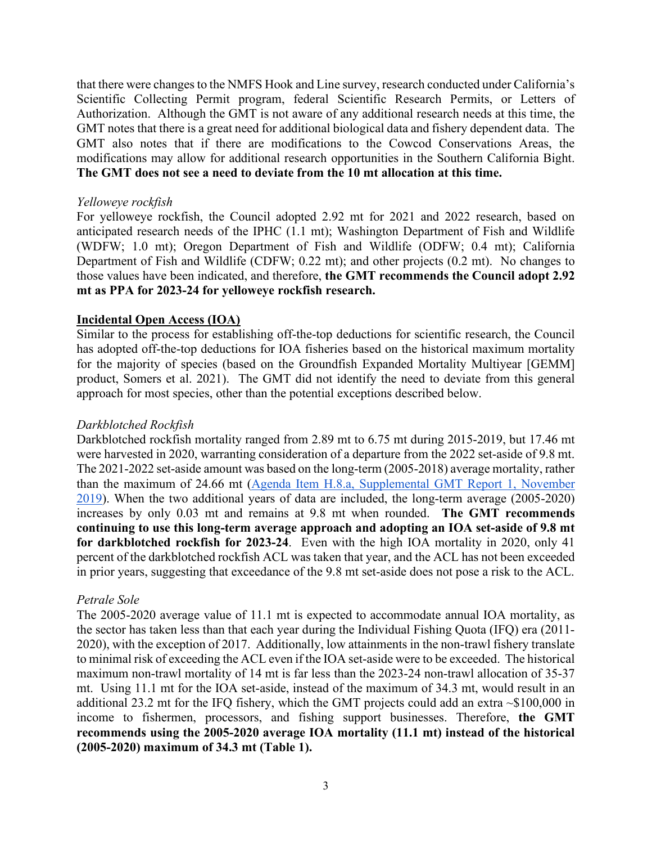that there were changes to the NMFS Hook and Line survey, research conducted under California's Scientific Collecting Permit program, federal Scientific Research Permits, or Letters of Authorization. Although the GMT is not aware of any additional research needs at this time, the GMT notes that there is a great need for additional biological data and fishery dependent data. The GMT also notes that if there are modifications to the Cowcod Conservations Areas, the modifications may allow for additional research opportunities in the Southern California Bight. **The GMT does not see a need to deviate from the 10 mt allocation at this time.** 

#### <span id="page-2-0"></span>*Yelloweye rockfish*

For yelloweye rockfish, the Council adopted 2.92 mt for 2021 and 2022 research, based on anticipated research needs of the IPHC (1.1 mt); Washington Department of Fish and Wildlife (WDFW; 1.0 mt); Oregon Department of Fish and Wildlife (ODFW; 0.4 mt); California Department of Fish and Wildlife (CDFW; 0.22 mt); and other projects (0.2 mt). No changes to those values have been indicated, and therefore, **the GMT recommends the Council adopt 2.92 mt as PPA for 2023-24 for yelloweye rockfish research.**

### <span id="page-2-1"></span>**Incidental Open Access (IOA)**

Similar to the process for establishing off-the-top deductions for scientific research, the Council has adopted off-the-top deductions for IOA fisheries based on the historical maximum mortality for the majority of species (based on the Groundfish Expanded Mortality Multiyear [GEMM] product, Somers et al. 2021). The GMT did not identify the need to deviate from this general approach for most species, other than the potential exceptions described below.

#### <span id="page-2-2"></span>*Darkblotched Rockfish*

Darkblotched rockfish mortality ranged from 2.89 mt to 6.75 mt during 2015-2019, but 17.46 mt were harvested in 2020, warranting consideration of a departure from the 2022 set-aside of 9.8 mt. The 2021-2022 set-aside amount was based on the long-term (2005-2018) average mortality, rather than the maximum of 24.66 mt [\(Agenda Item H.8.a, Supplemental GMT Report 1, November](https://www.pcouncil.org/documents/2019/11/agenda-item-h-8-a-supplemental-gmt-report-1-action-item-3-off-the-top-deductions.pdf/)  [2019\)](https://www.pcouncil.org/documents/2019/11/agenda-item-h-8-a-supplemental-gmt-report-1-action-item-3-off-the-top-deductions.pdf/). When the two additional years of data are included, the long-term average (2005-2020) increases by only 0.03 mt and remains at 9.8 mt when rounded. **The GMT recommends continuing to use this long-term average approach and adopting an IOA set-aside of 9.8 mt for darkblotched rockfish for 2023-24**. Even with the high IOA mortality in 2020, only 41 percent of the darkblotched rockfish ACL was taken that year, and the ACL has not been exceeded in prior years, suggesting that exceedance of the 9.8 mt set-aside does not pose a risk to the ACL.

#### <span id="page-2-3"></span>*Petrale Sole*

The 2005-2020 average value of 11.1 mt is expected to accommodate annual IOA mortality, as the sector has taken less than that each year during the Individual Fishing Quota (IFQ) era (2011- 2020), with the exception of 2017. Additionally, low attainments in the non-trawl fishery translate to minimal risk of exceeding the ACL even if the IOA set-aside were to be exceeded. The historical maximum non-trawl mortality of 14 mt is far less than the 2023-24 non-trawl allocation of 35-37 mt. Using 11.1 mt for the IOA set-aside, instead of the maximum of 34.3 mt, would result in an additional 23.2 mt for the IFQ fishery, which the GMT projects could add an extra ~\$100,000 in income to fishermen, processors, and fishing support businesses. Therefore, **the GMT recommends using the 2005-2020 average IOA mortality (11.1 mt) instead of the historical (2005-2020) maximum of 34.3 mt [\(Table](#page-3-3) 1).**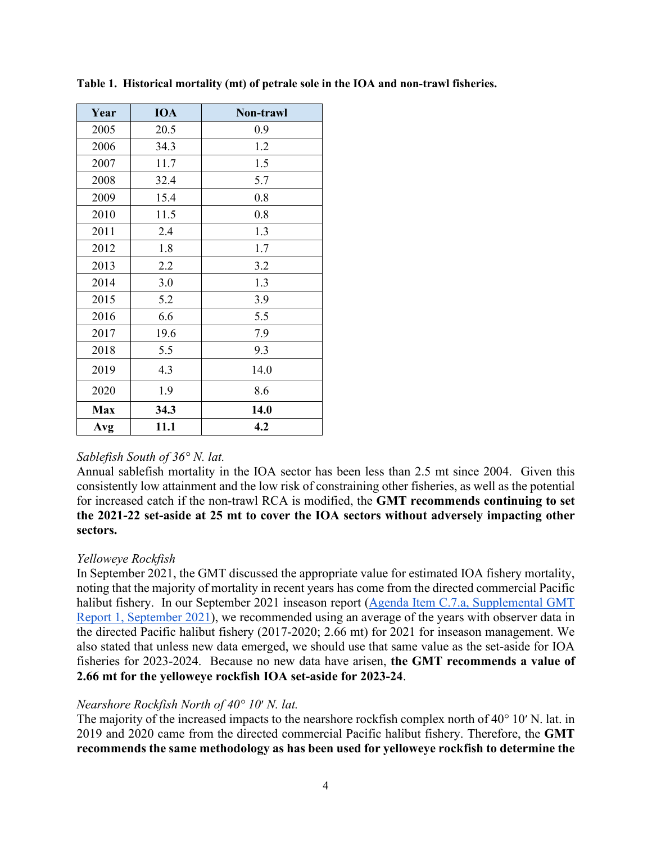| Year       | <b>IOA</b> | Non-trawl |
|------------|------------|-----------|
| 2005       | 20.5       | 0.9       |
| 2006       | 34.3       | 1.2       |
| 2007       | 11.7       | 1.5       |
| 2008       | 32.4       | 5.7       |
| 2009       | 15.4       | 0.8       |
| 2010       | 11.5       | 0.8       |
| 2011       | 2.4        | 1.3       |
| 2012       | 1.8        | 1.7       |
| 2013       | 2.2        | 3.2       |
| 2014       | 3.0        | 1.3       |
| 2015       | 5.2        | 3.9       |
| 2016       | 6.6        | 5.5       |
| 2017       | 19.6       | 7.9       |
| 2018       | 5.5        | 9.3       |
| 2019       | 4.3        | 14.0      |
| 2020       | 1.9        | 8.6       |
| <b>Max</b> | 34.3       | 14.0      |
| Avg        | 11.1       | 4.2       |

<span id="page-3-3"></span>**Table 1. Historical mortality (mt) of petrale sole in the IOA and non-trawl fisheries.** 

### <span id="page-3-0"></span>*Sablefish South of 36° N. lat.*

Annual sablefish mortality in the IOA sector has been less than 2.5 mt since 2004. Given this consistently low attainment and the low risk of constraining other fisheries, as well as the potential for increased catch if the non-trawl RCA is modified, the **GMT recommends continuing to set the 2021-22 set-aside at 25 mt to cover the IOA sectors without adversely impacting other sectors.** 

### <span id="page-3-1"></span>*Yelloweye Rockfish*

In September 2021, the GMT discussed the appropriate value for estimated IOA fishery mortality, noting that the majority of mortality in recent years has come from the directed commercial Pacific halibut fishery. In our September 2021 inseason report [\(Agenda Item C.7.a, Supplemental GMT](https://www.pcouncil.org/documents/2021/09/c-7-a-supplemental-gmt-report-1-2.pdf/)  [Report 1, September 2021\)](https://www.pcouncil.org/documents/2021/09/c-7-a-supplemental-gmt-report-1-2.pdf/), we recommended using an average of the years with observer data in the directed Pacific halibut fishery (2017-2020; 2.66 mt) for 2021 for inseason management. We also stated that unless new data emerged, we should use that same value as the set-aside for IOA fisheries for 2023-2024. Because no new data have arisen, **the GMT recommends a value of 2.66 mt for the yelloweye rockfish IOA set-aside for 2023-24**.

### <span id="page-3-2"></span>*Nearshore Rockfish North of 40° 10*[′](https://docs.google.com/document/d/1DIqz_aNEp1rLaMYcc5W_oqmyhVH0ODnvm7pe3DtZYbM/edit#heading=h.qlkk8fpqypwt) *N. lat.*

The majority of the increased impacts to the nearshore rockfish complex north of 40° 10[′](https://docs.google.com/document/d/1DIqz_aNEp1rLaMYcc5W_oqmyhVH0ODnvm7pe3DtZYbM/edit#heading=h.qlkk8fpqypwt) N. lat. in 2019 and 2020 came from the directed commercial Pacific halibut fishery. Therefore, the **GMT recommends the same methodology as has been used for yelloweye rockfish to determine the**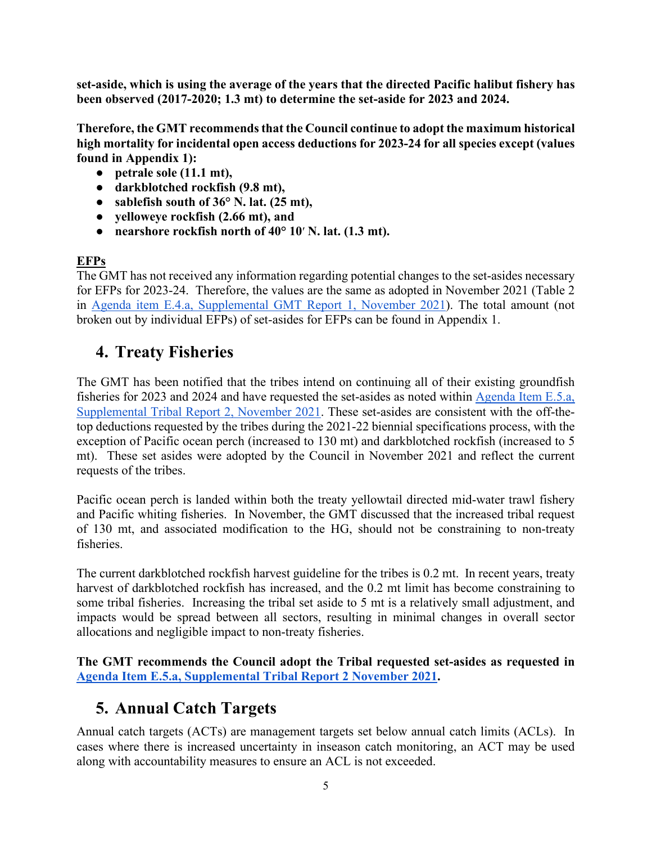**set-aside, which is using the average of the years that the directed Pacific halibut fishery has been observed (2017-2020; 1.3 mt) to determine the set-aside for 2023 and 2024.** 

**Therefore, the GMT recommends that the Council continue to adopt the maximum historical high mortality for incidental open access deductions for 2023-24 for all species except (values found in Appendix 1):** 

- **petrale sole (11.1 mt),**
- **darkblotched rockfish (9.8 mt),**
- **sablefish south of 36° N. lat. (25 mt),**
- **yelloweye rockfish (2.66 mt), and**
- **nearshore rockfish north of 40° 10**[′](https://docs.google.com/document/d/1DIqz_aNEp1rLaMYcc5W_oqmyhVH0ODnvm7pe3DtZYbM/edit#heading=h.qlkk8fpqypwt) **N. lat. (1.3 mt).**

## <span id="page-4-0"></span>**EFPs**

The GMT has not received any information regarding potential changes to the set-asides necessary for EFPs for 2023-24. Therefore, the values are the same as adopted in November 2021 (Table 2 in [Agenda item E.4.a, Supplemental GMT Report 1, November 2021\)](https://www.pcouncil.org/documents/2021/11/e-4-a-supplemental-gmt-report-1.pdf/). The total amount (not broken out by individual EFPs) of set-asides for EFPs can be found in Appendix 1.

# <span id="page-4-1"></span>**4. Treaty Fisheries**

The GMT has been notified that the tribes intend on continuing all of their existing groundfish fisheries for 2023 and 2024 and have requested the set-asides as noted within [Agenda Item E.5.a,](https://www.pcouncil.org/documents/2021/11/e-5-a-supplemental-tribal-report-2-preliminary-2023-2024-tribal-management-measures.pdf/)  [Supplemental Tribal Report 2, November 2021.](https://www.pcouncil.org/documents/2021/11/e-5-a-supplemental-tribal-report-2-preliminary-2023-2024-tribal-management-measures.pdf/) These set-asides are consistent with the off-thetop deductions requested by the tribes during the 2021-22 biennial specifications process, with the exception of Pacific ocean perch (increased to 130 mt) and darkblotched rockfish (increased to 5 mt). These set asides were adopted by the Council in November 2021 and reflect the current requests of the tribes.

Pacific ocean perch is landed within both the treaty yellowtail directed mid-water trawl fishery and Pacific whiting fisheries. In November, the GMT discussed that the increased tribal request of 130 mt, and associated modification to the HG, should not be constraining to non-treaty fisheries.

The current darkblotched rockfish harvest guideline for the tribes is 0.2 mt. In recent years, treaty harvest of darkblotched rockfish has increased, and the 0.2 mt limit has become constraining to some tribal fisheries. Increasing the tribal set aside to 5 mt is a relatively small adjustment, and impacts would be spread between all sectors, resulting in minimal changes in overall sector allocations and negligible impact to non-treaty fisheries.

**The GMT recommends the Council adopt the Tribal requested set-asides as requested in [Agenda Item E.5.a, Supplemental Tribal Report 2 November 2021.](https://www.pcouncil.org/documents/2021/11/e-5-a-supplemental-tribal-report-2-preliminary-2023-2024-tribal-management-measures.pdf/)**

# <span id="page-4-2"></span>**5. Annual Catch Targets**

Annual catch targets (ACTs) are management targets set below annual catch limits (ACLs). In cases where there is increased uncertainty in inseason catch monitoring, an ACT may be used along with accountability measures to ensure an ACL is not exceeded.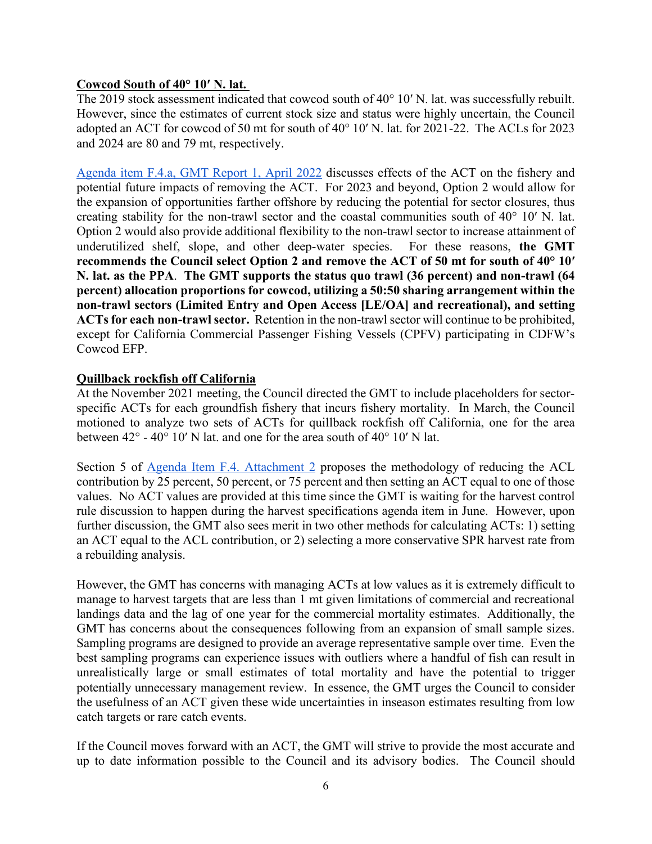### <span id="page-5-0"></span>**Cowcod South of 40° 10′ N. lat.**

The 2019 stock assessment indicated that cowcod south of 40° 10' N. lat. was successfully rebuilt. However, since the estimates of current stock size and status were highly uncertain, the Council adopted an ACT for cowcod of 50 mt for south of 40° 10′ N. lat. for 2021-22. The ACLs for 2023 and 2024 are 80 and 79 mt, respectively.

[Agenda item F.4.a, GMT Report 1, April 2022](https://www.pcouncil.org/documents/2022/03/f-4-a-gmt-report-1-report-on-reconsideration-of-the-cowcod-south-of-40-10%e2%80%b2-n-lat-annual-catch-target.pdf/) discusses effects of the ACT on the fishery and potential future impacts of removing the ACT. For 2023 and beyond, Option 2 would allow for the expansion of opportunities farther offshore by reducing the potential for sector closures, thus creating stability for the non-trawl sector and the coastal communities south of 40° 10′ N. lat. Option 2 would also provide additional flexibility to the non-trawl sector to increase attainment of underutilized shelf, slope, and other deep-water species. For these reasons, **the GMT recommends the Council select Option 2 and remove the ACT of 50 mt for south of 40° 10′ N. lat. as the PPA**. **The GMT supports the status quo trawl (36 percent) and non-trawl (64 percent) allocation proportions for cowcod, utilizing a 50:50 sharing arrangement within the non-trawl sectors (Limited Entry and Open Access [LE/OA] and recreational), and setting ACTs for each non-trawl sector.** Retention in the non-trawl sector will continue to be prohibited, except for California Commercial Passenger Fishing Vessels (CPFV) participating in CDFW's Cowcod EFP.

### <span id="page-5-1"></span>**Quillback rockfish off California**

At the November 2021 meeting, the Council directed the GMT to include placeholders for sectorspecific ACTs for each groundfish fishery that incurs fishery mortality. In March, the Council motioned to analyze two sets of ACTs for quillback rockfish off California, one for the area between 42° - 40° 10′ N lat. and one for the area south of 40° 10′ N lat.

Section 5 of [Agenda Item F.4. Attachment 2](https://www.pcouncil.org/documents/2022/03/f-4-attachment-2-2023-2024-management-measure-analytical-document-electronic-only.pdf/) proposes the methodology of reducing the ACL contribution by 25 percent, 50 percent, or 75 percent and then setting an ACT equal to one of those values. No ACT values are provided at this time since the GMT is waiting for the harvest control rule discussion to happen during the harvest specifications agenda item in June. However, upon further discussion, the GMT also sees merit in two other methods for calculating ACTs: 1) setting an ACT equal to the ACL contribution, or 2) selecting a more conservative SPR harvest rate from a rebuilding analysis.

However, the GMT has concerns with managing ACTs at low values as it is extremely difficult to manage to harvest targets that are less than 1 mt given limitations of commercial and recreational landings data and the lag of one year for the commercial mortality estimates. Additionally, the GMT has concerns about the consequences following from an expansion of small sample sizes. Sampling programs are designed to provide an average representative sample over time. Even the best sampling programs can experience issues with outliers where a handful of fish can result in unrealistically large or small estimates of total mortality and have the potential to trigger potentially unnecessary management review. In essence, the GMT urges the Council to consider the usefulness of an ACT given these wide uncertainties in inseason estimates resulting from low catch targets or rare catch events.

If the Council moves forward with an ACT, the GMT will strive to provide the most accurate and up to date information possible to the Council and its advisory bodies. The Council should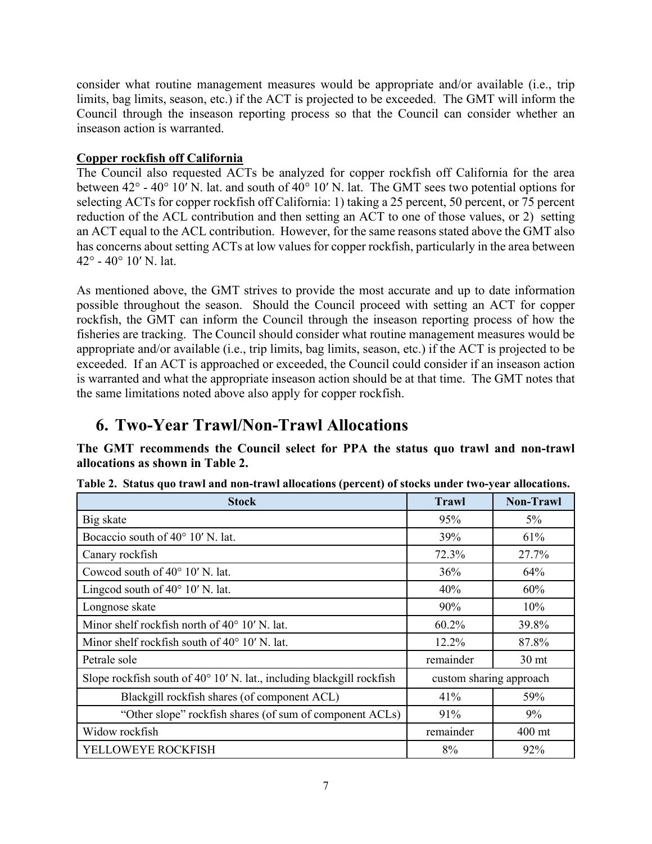consider what routine management measures would be appropriate and/or available (i.e., trip limits, bag limits, season, etc.) if the ACT is projected to be exceeded. The GMT will inform the Council through the inseason reporting process so that the Council can consider whether an inseason action is warranted.

### <span id="page-6-0"></span>**Copper rockfish off California**

The Council also requested ACTs be analyzed for copper rockfish off California for the area between 42° - 40° 10′ N. lat. and south of 40° 10′ N. lat. The GMT sees two potential options for selecting ACTs for copper rockfish off California: 1) taking a 25 percent, 50 percent, or 75 percent reduction of the ACL contribution and then setting an ACT to one of those values, or 2) setting an ACT equal to the ACL contribution. However, for the same reasons stated above the GMT also has concerns about setting ACTs at low values for copper rockfish, particularly in the area between 42° - 40° 10′ N. lat.

As mentioned above, the GMT strives to provide the most accurate and up to date information possible throughout the season. Should the Council proceed with setting an ACT for copper rockfish, the GMT can inform the Council through the inseason reporting process of how the fisheries are tracking. The Council should consider what routine management measures would be appropriate and/or available (i.e., trip limits, bag limits, season, etc.) if the ACT is projected to be exceeded. If an ACT is approached or exceeded, the Council could consider if an inseason action is warranted and what the appropriate inseason action should be at that time. The GMT notes that the same limitations noted above also apply for copper rockfish.

# <span id="page-6-1"></span>**6. Two-Year Trawl/Non-Trawl Allocations**

**The GMT recommends the Council select for PPA the status quo trawl and non-trawl allocations as shown in [Table](#page-6-2) 2.** 

| <b>Stock</b>                                                          | <b>Trawl</b>            | <b>Non-Trawl</b> |
|-----------------------------------------------------------------------|-------------------------|------------------|
| Big skate                                                             | 95%                     | $5\%$            |
| Bocaccio south of 40° 10' N. lat.                                     | 39%                     | 61%              |
| Canary rockfish                                                       | 72.3%                   | 27.7%            |
| Cowcod south of 40° 10' N. lat.                                       | 36%                     | 64%              |
| Lingcod south of $40^{\circ}$ 10' N. lat.                             | 40%                     | 60%              |
| Longnose skate                                                        | 90%                     | 10%              |
| Minor shelf rockfish north of $40^{\circ}$ 10' N. lat.                | $60.2\%$                | 39.8%            |
| Minor shelf rockfish south of $40^{\circ}$ 10' N. lat.                | 12.2%                   | 87.8%            |
| Petrale sole                                                          | remainder               | 30 <sub>mt</sub> |
| Slope rockfish south of 40° 10' N. lat., including blackgill rockfish | custom sharing approach |                  |
| Blackgill rockfish shares (of component ACL)                          | 41%                     | 59%              |
| "Other slope" rockfish shares (of sum of component ACLs)              | 91%                     | 9%               |
| Widow rockfish                                                        | remainder               | 400 mt           |
| YELLOWEYE ROCKFISH                                                    | 8%                      | 92%              |

<span id="page-6-2"></span>**Table 2. Status quo trawl and non-trawl allocations (percent) of stocks under two-year allocations.**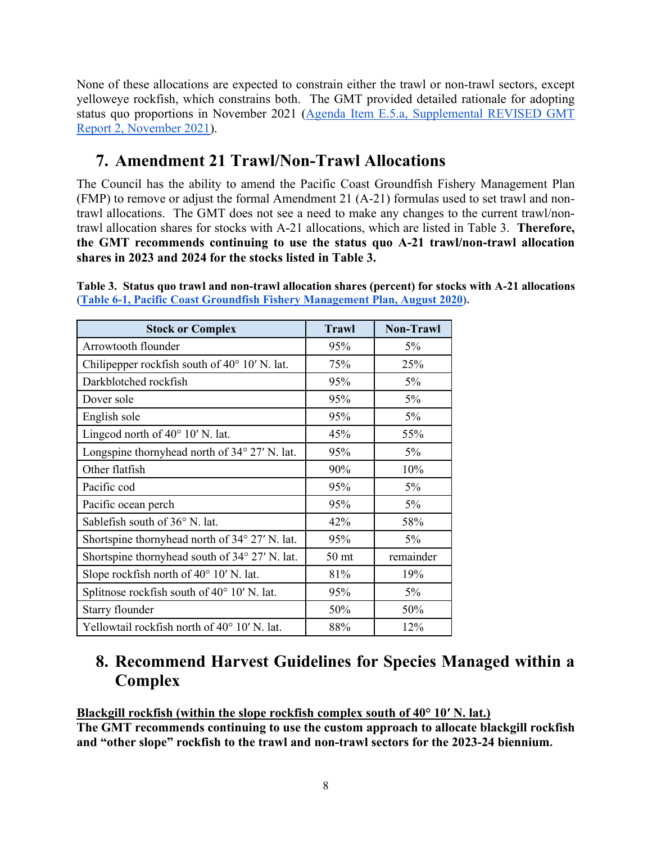None of these allocations are expected to constrain either the trawl or non-trawl sectors, except yelloweye rockfish, which constrains both. The GMT provided detailed rationale for adopting status quo proportions in November 2021 [\(Agenda Item E.5.a, Supplemental REVISED GMT](https://www.pcouncil.org/documents/2021/11/e-5-a-supplemental-gmt-report-2-management-measure-items-1-2-and-4-through-11-from-the-action-item-checklist.pdf/)  [Report 2, November 2021\)](https://www.pcouncil.org/documents/2021/11/e-5-a-supplemental-gmt-report-2-management-measure-items-1-2-and-4-through-11-from-the-action-item-checklist.pdf/).

# <span id="page-7-0"></span>**7. Amendment 21 Trawl/Non-Trawl Allocations**

The Council has the ability to amend the Pacific Coast Groundfish Fishery Management Plan (FMP) to remove or adjust the formal Amendment 21 (A-21) formulas used to set trawl and nontrawl allocations. The GMT does not see a need to make any changes to the current trawl/nontrawl allocation shares for stocks with A-21 allocations, which are listed in [Table 3.](#page-7-2) **Therefore, the GMT recommends continuing to use the status quo A-21 trawl/non-trawl allocation shares in 2023 and 2024 for the stocks listed in [Table](#page-7-2) 3.**

| <b>Stock or Complex</b>                                | <b>Trawl</b>     | <b>Non-Trawl</b> |
|--------------------------------------------------------|------------------|------------------|
| Arrowtooth flounder                                    | 95%              | $5\%$            |
| Chilipepper rockfish south of 40° 10' N. lat.          | 75%              | 25%              |
| Darkblotched rockfish                                  | 95%              | 5%               |
| Dover sole                                             | 95%              | 5%               |
| English sole                                           | 95%              | 5%               |
| Lingcod north of $40^{\circ}$ 10' N. lat.              | 45%              | 55%              |
| Longspine thornyhead north of $34^{\circ}$ 27' N. lat. | 95%              | 5%               |
| Other flatfish                                         | 90%              | 10%              |
| Pacific cod                                            | 95%              | 5%               |
| Pacific ocean perch                                    | 95%              | 5%               |
| Sablefish south of 36° N. lat.                         | 42%              | 58%              |
| Shortspine thornyhead north of 34° 27' N. lat.         | 95%              | $5\%$            |
| Shortspine thornyhead south of 34° 27' N. lat.         | 50 <sub>mt</sub> | remainder        |
| Slope rockfish north of $40^{\circ}$ 10' N. lat.       | 81%              | 19%              |
| Splitnose rockfish south of $40^{\circ}$ 10' N. lat.   | 95%              | $5\%$            |
| Starry flounder                                        | 50%              | 50%              |
| Yellowtail rockfish north of 40° 10' N. lat.           | 88%              | 12%              |

<span id="page-7-2"></span>**Table 3. Status quo trawl and non-trawl allocation shares (percent) for stocks with A-21 allocations (Table 6-[1, Pacific Coast Groundfish Fishery Management Plan, August 2020\)](https://www.pcouncil.org/documents/2016/08/pacific-coast-groundfish-fishery-management-plan.pdf/).**

# **8. Recommend Harvest Guidelines for Species Managed within a Complex**

## <span id="page-7-1"></span>**Blackgill rockfish (within the slope rockfish complex south of 40° 10′ N. lat.)**

**The GMT recommends continuing to use the custom approach to allocate blackgill rockfish and "other slope" rockfish to the trawl and non-trawl sectors for the 2023-24 biennium.**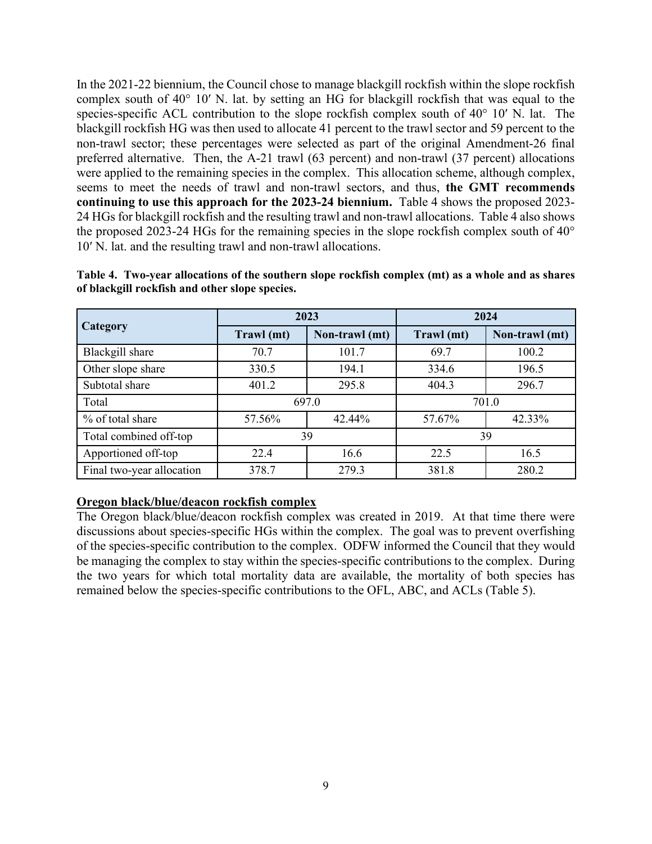In the 2021-22 biennium, the Council chose to manage blackgill rockfish within the slope rockfish complex south of 40° 10′ N. lat. by setting an HG for blackgill rockfish that was equal to the species-specific ACL contribution to the slope rockfish complex south of 40° 10′ N. lat. The blackgill rockfish HG was then used to allocate 41 percent to the trawl sector and 59 percent to the non-trawl sector; these percentages were selected as part of the original Amendment-26 final preferred alternative. Then, the A-21 trawl (63 percent) and non-trawl (37 percent) allocations were applied to the remaining species in the complex. This allocation scheme, although complex, seems to meet the needs of trawl and non-trawl sectors, and thus, **the GMT recommends continuing to use this approach for the 2023-24 biennium.** [Table 4](#page-8-0) shows the proposed 2023- 24 HGs for blackgill rockfish and the resulting trawl and non-trawl allocations. Table 4 also shows the proposed 2023-24 HGs for the remaining species in the slope rockfish complex south of 40° 10′ N. lat. and the resulting trawl and non-trawl allocations.

|                           |            | 2023           | 2024       |                |  |  |
|---------------------------|------------|----------------|------------|----------------|--|--|
| Category                  | Trawl (mt) | Non-trawl (mt) | Trawl (mt) | Non-trawl (mt) |  |  |
| Blackgill share           | 70.7       | 101.7          | 69.7       | 100.2          |  |  |
| Other slope share         | 330.5      | 194.1          | 334.6      | 196.5          |  |  |
| Subtotal share            | 401.2      | 295.8          | 404.3      | 296.7          |  |  |
| Total                     |            | 697.0          | 701.0      |                |  |  |
| % of total share          | 57.56%     | 42.44%         | 57.67%     | 42.33%         |  |  |
| Total combined off-top    |            | 39             | 39         |                |  |  |
| Apportioned off-top       | 22.4       | 16.6           | 22.5       | 16.5           |  |  |
| Final two-year allocation | 378.7      | 279.3          | 381.8      | 280.2          |  |  |

<span id="page-8-0"></span>**Table 4. Two-year allocations of the southern slope rockfish complex (mt) as a whole and as shares of blackgill rockfish and other slope species.**

### **Oregon black/blue/deacon rockfish complex**

The Oregon black/blue/deacon rockfish complex was created in 2019. At that time there were discussions about species-specific HGs within the complex. The goal was to prevent overfishing of the species-specific contribution to the complex. ODFW informed the Council that they would be managing the complex to stay within the species-specific contributions to the complex. During the two years for which total mortality data are available, the mortality of both species has remained below the species-specific contributions to the OFL, ABC, and ACLs [\(Table 5\)](#page-9-0).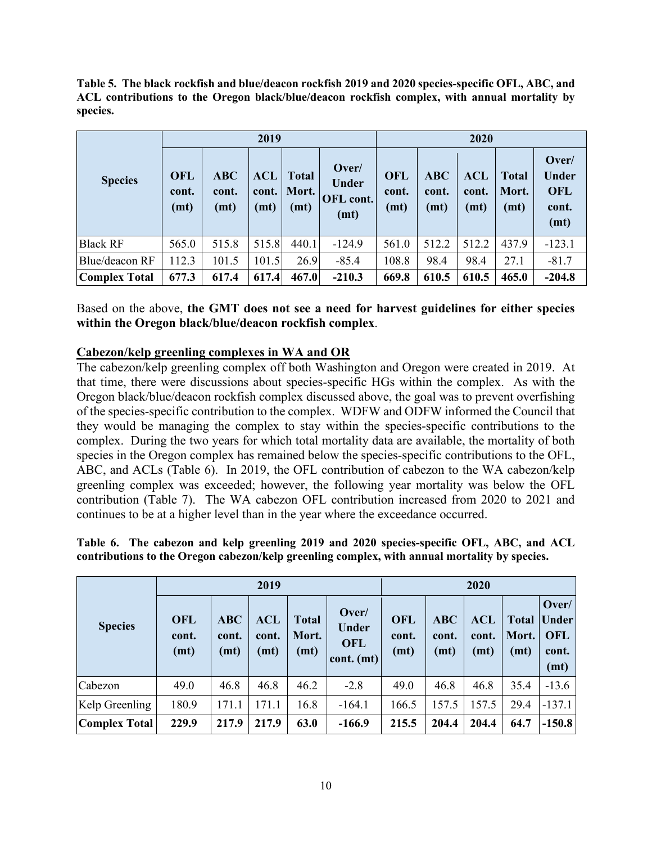<span id="page-9-0"></span>**Table 5. The black rockfish and blue/deacon rockfish 2019 and 2020 species-specific OFL, ABC, and ACL contributions to the Oregon black/blue/deacon rockfish complex, with annual mortality by species.**

| <b>Species</b>       |                             |                             | 2019                        |                               |                                            | 2020                        |                             |                             |                               |                                                      |
|----------------------|-----------------------------|-----------------------------|-----------------------------|-------------------------------|--------------------------------------------|-----------------------------|-----------------------------|-----------------------------|-------------------------------|------------------------------------------------------|
|                      | <b>OFL</b><br>cont.<br>(mt) | <b>ABC</b><br>cont.<br>(mt) | <b>ACL</b><br>cont.<br>(mt) | <b>Total</b><br>Mort.<br>(mt) | Over/<br><b>Under</b><br>OFL cont.<br>(mt) | <b>OFL</b><br>cont.<br>(mt) | <b>ABC</b><br>cont.<br>(mt) | <b>ACL</b><br>cont.<br>(mt) | <b>Total</b><br>Mort.<br>(mt) | Over/<br><b>Under</b><br><b>OFL</b><br>cont.<br>(mt) |
| <b>Black RF</b>      | 565.0                       | 515.8                       | 515.8                       | 440.1                         | $-124.9$                                   | 561.0                       | 512.2                       | 512.2                       | 437.9                         | $-123.1$                                             |
| Blue/deacon RF       | 112.3                       | 101.5                       | 101.5                       | 26.9                          | $-85.4$                                    | 108.8                       | 98.4                        | 98.4                        | 27.1                          | $-81.7$                                              |
| <b>Complex Total</b> | 677.3                       | 617.4                       | 617.4                       | 467.0                         | $-210.3$                                   | 669.8                       | 610.5                       | 610.5                       | 465.0                         | $-204.8$                                             |

Based on the above, **the GMT does not see a need for harvest guidelines for either species within the Oregon black/blue/deacon rockfish complex**.

### **Cabezon/kelp greenling complexes in WA and OR**

The cabezon/kelp greenling complex off both Washington and Oregon were created in 2019. At that time, there were discussions about species-specific HGs within the complex. As with the Oregon black/blue/deacon rockfish complex discussed above, the goal was to prevent overfishing of the species-specific contribution to the complex. WDFW and ODFW informed the Council that they would be managing the complex to stay within the species-specific contributions to the complex. During the two years for which total mortality data are available, the mortality of both species in the Oregon complex has remained below the species-specific contributions to the OFL, ABC, and ACLs [\(Table 6\)](#page-9-1). In 2019, the OFL contribution of cabezon to the WA cabezon/kelp greenling complex was exceeded; however, the following year mortality was below the OFL contribution [\(Table 7\)](#page-10-1). The WA cabezon OFL contribution increased from 2020 to 2021 and continues to be at a higher level than in the year where the exceedance occurred.

<span id="page-9-1"></span>

|  |  |  | Table 6. The cabezon and kelp greenling 2019 and 2020 species-specific OFL, ABC, and ACL      |  |  |
|--|--|--|-----------------------------------------------------------------------------------------------|--|--|
|  |  |  | contributions to the Oregon cabezon/kelp greenling complex, with annual mortality by species. |  |  |

| <b>Species</b>       |                             |                             | 2019                        |                               | 2020                                                |                             |                             |                             |                               |                                                             |
|----------------------|-----------------------------|-----------------------------|-----------------------------|-------------------------------|-----------------------------------------------------|-----------------------------|-----------------------------|-----------------------------|-------------------------------|-------------------------------------------------------------|
|                      | <b>OFL</b><br>cont.<br>(mt) | <b>ABC</b><br>cont.<br>(mt) | <b>ACL</b><br>cont.<br>(mt) | <b>Total</b><br>Mort.<br>(mt) | Over/<br><b>Under</b><br><b>OFL</b><br>$cont.$ (mt) | <b>OFL</b><br>cont.<br>(mt) | <b>ABC</b><br>cont.<br>(mt) | <b>ACL</b><br>cont.<br>(mt) | <b>Total</b><br>Mort.<br>(mt) | Over/<br><i><u><b>Under</b></u></i><br>OFL<br>cont.<br>(mt) |
| Cabezon              | 49.0                        | 46.8                        | 46.8                        | 46.2                          | $-2.8$                                              | 49.0                        | 46.8                        | 46.8                        | 35.4                          | $-13.6$                                                     |
| Kelp Greenling       | 180.9                       | 171.1                       | 171.1                       | 16.8                          | $-164.1$                                            | 166.5                       | 157.5                       | 157.5                       | 29.4                          | $-137.1$                                                    |
| <b>Complex Total</b> | 229.9                       | 217.9                       | 217.9                       | 63.0                          | $-166.9$                                            | 215.5                       | 204.4                       | 204.4                       | 64.7                          | $-150.8$                                                    |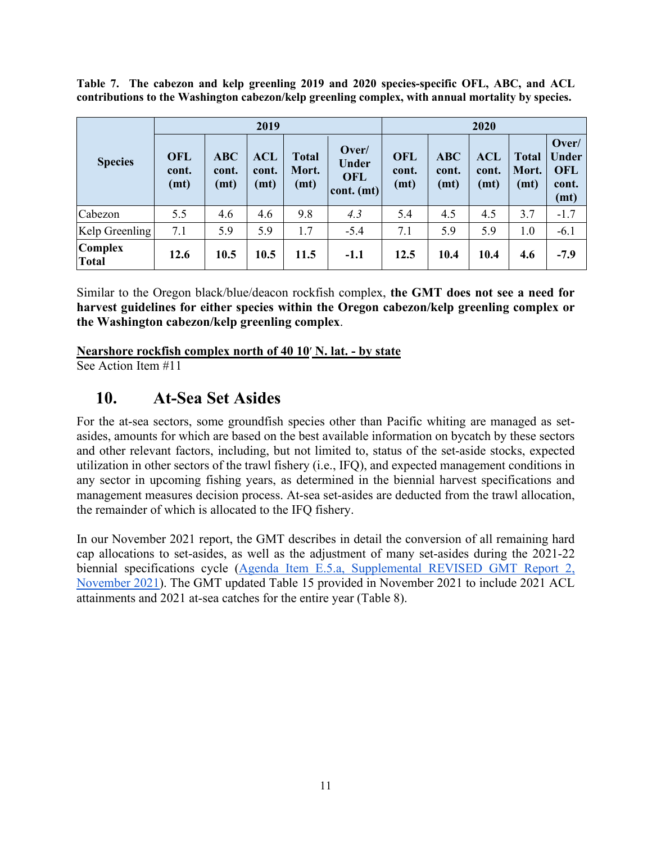<span id="page-10-1"></span>**Table 7. The cabezon and kelp greenling 2019 and 2020 species-specific OFL, ABC, and ACL contributions to the Washington cabezon/kelp greenling complex, with annual mortality by species.**

|                                |                             |                             | 2019                        |                               | 2020                                              |                             |                             |                             |                               |                                                      |
|--------------------------------|-----------------------------|-----------------------------|-----------------------------|-------------------------------|---------------------------------------------------|-----------------------------|-----------------------------|-----------------------------|-------------------------------|------------------------------------------------------|
| <b>Species</b>                 | <b>OFL</b><br>cont.<br>(mt) | <b>ABC</b><br>cont.<br>(mt) | <b>ACL</b><br>cont.<br>(mt) | <b>Total</b><br>Mort.<br>(mt) | Over/<br><b>Under</b><br><b>OFL</b><br>cont. (mt) | <b>OFL</b><br>cont.<br>(mt) | <b>ABC</b><br>cont.<br>(mt) | <b>ACL</b><br>cont.<br>(mt) | <b>Total</b><br>Mort.<br>(mt) | Over/<br><b>Under</b><br><b>OFL</b><br>cont.<br>(mt) |
| Cabezon                        | 5.5                         | 4.6                         | 4.6                         | 9.8                           | 4.3                                               | 5.4                         | 4.5                         | 4.5                         | 3.7                           | $-1.7$                                               |
| Kelp Greenling                 | 7.1                         | 5.9                         | 5.9                         | 1.7                           | $-5.4$                                            | 7.1                         | 5.9                         | 5.9                         | 1.0                           | $-6.1$                                               |
| <b>Complex</b><br><b>Total</b> | 12.6                        | 10.5                        | 10.5                        | 11.5                          | $-1.1$                                            | 12.5                        | 10.4                        | 10.4                        | 4.6                           | $-7.9$                                               |

Similar to the Oregon black/blue/deacon rockfish complex, **the GMT does not see a need for harvest guidelines for either species within the Oregon cabezon/kelp greenling complex or the Washington cabezon/kelp greenling complex**.

**Nearshore rockfish complex north of 40 1[0](https://docs.google.com/document/d/1DIqz_aNEp1rLaMYcc5W_oqmyhVH0ODnvm7pe3DtZYbM/edit#heading=h.qlkk8fpqypwt)**′ **N. lat. - by state**

See Action Item #11

# <span id="page-10-0"></span>**10. At-Sea Set Asides**

For the at-sea sectors, some groundfish species other than Pacific whiting are managed as setasides, amounts for which are based on the best available information on bycatch by these sectors and other relevant factors, including, but not limited to, status of the set-aside stocks, expected utilization in other sectors of the trawl fishery (i.e., IFQ), and expected management conditions in any sector in upcoming fishing years, as determined in the biennial harvest specifications and management measures decision process. At-sea set-asides are deducted from the trawl allocation, the remainder of which is allocated to the IFQ fishery.

In our November 2021 report, the GMT describes in detail the conversion of all remaining hard cap allocations to set-asides, as well as the adjustment of many set-asides during the 2021-22 biennial specifications cycle [\(Agenda Item E.5.a, Supplemental REVISED GMT Report 2,](https://www.pcouncil.org/documents/2021/11/e-5-a-supplemental-gmt-report-2-management-measure-items-1-2-and-4-through-11-from-the-action-item-checklist.pdf/)  [November 2021\)](https://www.pcouncil.org/documents/2021/11/e-5-a-supplemental-gmt-report-2-management-measure-items-1-2-and-4-through-11-from-the-action-item-checklist.pdf/). The GMT updated Table 15 provided in November 2021 to include 2021 ACL attainments and 2021 at-sea catches for the entire year [\(Table 8\)](#page-11-0).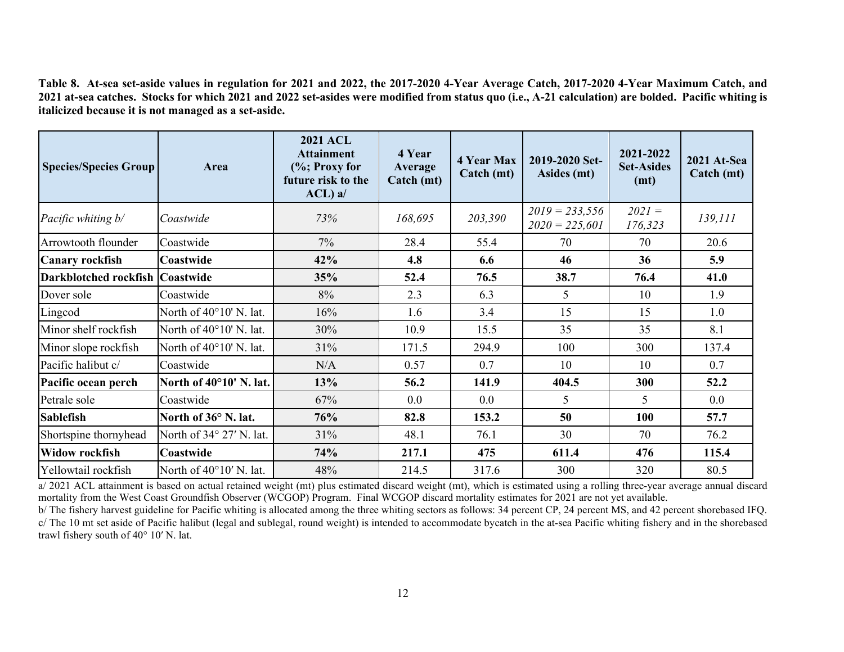**Table 8. At-sea set-aside values in regulation for 2021 and 2022, the 2017-2020 4-Year Average Catch, 2017-2020 4-Year Maximum Catch, and 2021 at-sea catches. Stocks for which 2021 and 2022 set-asides were modified from status quo (i.e., A-21 calculation) are bolded. Pacific whiting is italicized because it is not managed as a set-aside.**

<span id="page-11-0"></span>

| <b>Species/Species Group</b> | Area                     | <b>2021 ACL</b><br><b>Attainment</b><br>(%; Proxy for<br>future risk to the<br>$ACL$ ) a/ | 4 Year<br>Average<br>Catch (mt) | <b>4 Year Max</b><br>Catch (mt) | 2019-2020 Set-<br>Asides (mt)        | 2021-2022<br><b>Set-Asides</b><br>(mt) | 2021 At-Sea<br>Catch (mt) |
|------------------------------|--------------------------|-------------------------------------------------------------------------------------------|---------------------------------|---------------------------------|--------------------------------------|----------------------------------------|---------------------------|
| Pacific whiting b/           | Coastwide                | 73%                                                                                       | 168,695                         | 203,390                         | $2019 = 233,556$<br>$2020 = 225,601$ | $2021 =$<br>176,323                    | 139,111                   |
| Arrowtooth flounder          | Coastwide                | $7\%$                                                                                     | 28.4                            | 55.4                            | 70                                   | 70                                     | 20.6                      |
| <b>Canary rockfish</b>       | Coastwide                | 42%                                                                                       | 4.8                             | 6.6                             | 46                                   | 36                                     | 5.9                       |
| Darkblotched rockfish        | Coastwide                | 35%                                                                                       | 52.4                            | 76.5                            | 38.7                                 | 76.4                                   | 41.0                      |
| Dover sole                   | Coastwide                | 8%                                                                                        | 2.3                             | 6.3                             | 5                                    | 10                                     | 1.9                       |
| Lingcod                      | North of 40°10' N. lat.  | 16%                                                                                       | 1.6                             | 3.4                             | 15                                   | 15                                     | 1.0                       |
| Minor shelf rockfish         | North of 40°10' N. lat.  | 30%                                                                                       | 10.9                            | 15.5                            | 35                                   | 35                                     | 8.1                       |
| Minor slope rockfish         | North of 40°10' N. lat.  | 31%                                                                                       | 171.5                           | 294.9                           | 100                                  | 300                                    | 137.4                     |
| Pacific halibut c/           | Coastwide                | N/A                                                                                       | 0.57                            | 0.7                             | 10                                   | 10                                     | 0.7                       |
| Pacific ocean perch          | North of 40°10' N. lat.  | 13%                                                                                       | 56.2                            | 141.9                           | 404.5                                | 300                                    | 52.2                      |
| Petrale sole                 | Coastwide                | 67%                                                                                       | 0.0                             | 0.0                             | 5                                    | 5                                      | 0.0                       |
| <b>Sablefish</b>             | North of 36° N. lat.     | 76%                                                                                       | 82.8                            | 153.2                           | 50                                   | 100                                    | 57.7                      |
| Shortspine thornyhead        | North of 34° 27' N. lat. | 31%                                                                                       | 48.1                            | 76.1                            | 30                                   | 70                                     | 76.2                      |
| <b>Widow rockfish</b>        | <b>Coastwide</b>         | 74%                                                                                       | 217.1                           | 475                             | 611.4                                | 476                                    | 115.4                     |
| Yellowtail rockfish          | North of 40°10' N. lat.  | 48%                                                                                       | 214.5                           | 317.6                           | 300                                  | 320                                    | 80.5                      |

a/ 2021 ACL attainment is based on actual retained weight (mt) plus estimated discard weight (mt), which is estimated using a rolling three-year average annual discard mortality from the West Coast Groundfish Observer (WCGOP) Program. Final WCGOP discard mortality estimates for 2021 are not yet available.

b/ The fishery harvest guideline for Pacific whiting is allocated among the three whiting sectors as follows: 34 percent CP, 24 percent MS, and 42 percent shorebased IFQ. c/ The 10 mt set aside of Pacific halibut (legal and sublegal, round weight) is intended to accommodate bycatch in the at-sea Pacific whiting fishery and in the shorebased trawl fishery south of 40° 10′ N. lat.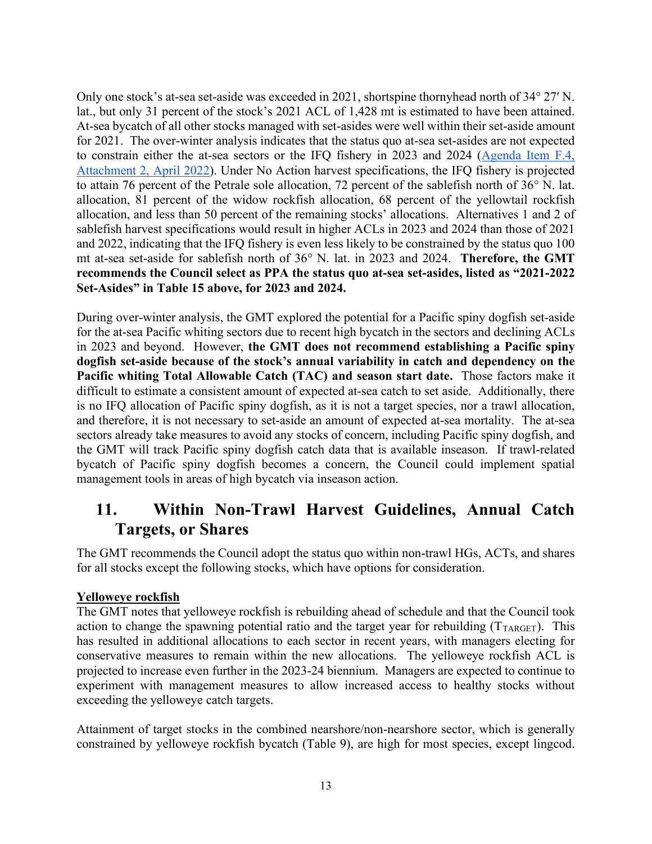Only one stock's at-sea set-aside was exceeded in 2021, shortspine thornyhead north of 34° 27′ N. lat., but only 31 percent of the stock's 2021 ACL of 1,428 mt is estimated to have been attained. At-sea bycatch of all other stocks managed with set-asides were well within their set-aside amount for 2021. The over-winter analysis indicates that the status quo at-sea set-asides are not expected to constrain either the at-sea sectors or the IFQ fishery in 2023 and 2024 [\(Agenda Item F.4,](https://www.pcouncil.org/documents/2022/03/f-4-attachment-2-2023-2024-management-measure-analytical-document-electronic-only.pdf/)  [Attachment 2, April 2022\)](https://www.pcouncil.org/documents/2022/03/f-4-attachment-2-2023-2024-management-measure-analytical-document-electronic-only.pdf/). Under No Action harvest specifications, the IFQ fishery is projected to attain 76 percent of the Petrale sole allocation, 72 percent of the sablefish north of 36° N. lat. allocation, 81 percent of the widow rockfish allocation, 68 percent of the yellowtail rockfish allocation, and less than 50 percent of the remaining stocks' allocations. Alternatives 1 and 2 of sablefish harvest specifications would result in higher ACLs in 2023 and 2024 than those of 2021 and 2022, indicating that the IFQ fishery is even less likely to be constrained by the status quo 100 mt at-sea set-aside for sablefish north of 36° N. lat. in 2023 and 2024. **Therefore, the GMT recommends the Council select as PPA the status quo at-sea set-asides, listed as "2021-2022 Set-Asides" in Table 15 above, for 2023 and 2024.**

During over-winter analysis, the GMT explored the potential for a Pacific spiny dogfish set-aside for the at-sea Pacific whiting sectors due to recent high bycatch in the sectors and declining ACLs in 2023 and beyond. However, **the GMT does not recommend establishing a Pacific spiny dogfish set-aside because of the stock's annual variability in catch and dependency on the Pacific whiting Total Allowable Catch (TAC) and season start date.** Those factors make it difficult to estimate a consistent amount of expected at-sea catch to set aside. Additionally, there is no IFQ allocation of Pacific spiny dogfish, as it is not a target species, nor a trawl allocation, and therefore, it is not necessary to set-aside an amount of expected at-sea mortality. The at-sea sectors already take measures to avoid any stocks of concern, including Pacific spiny dogfish, and the GMT will track Pacific spiny dogfish catch data that is available inseason. If trawl-related bycatch of Pacific spiny dogfish becomes a concern, the Council could implement spatial management tools in areas of high bycatch via inseason action.

# <span id="page-12-0"></span>**11. Within Non-Trawl Harvest Guidelines, Annual Catch Targets, or Shares**

The GMT recommends the Council adopt the status quo within non-trawl HGs, ACTs, and shares for all stocks except the following stocks, which have options for consideration.

### <span id="page-12-1"></span>**Yelloweye rockfish**

The GMT notes that yelloweye rockfish is rebuilding ahead of schedule and that the Council took action to change the spawning potential ratio and the target year for rebuilding  $(T_{TARGE})$ . This has resulted in additional allocations to each sector in recent years, with managers electing for conservative measures to remain within the new allocations. The yelloweye rockfish ACL is projected to increase even further in the 2023-24 biennium. Managers are expected to continue to experiment with management measures to allow increased access to healthy stocks without exceeding the yelloweye catch targets.

Attainment of target stocks in the combined nearshore/non-nearshore sector, which is generally constrained by yelloweye rockfish bycatch [\(Table 9\)](#page-13-1), are high for most species, except lingcod.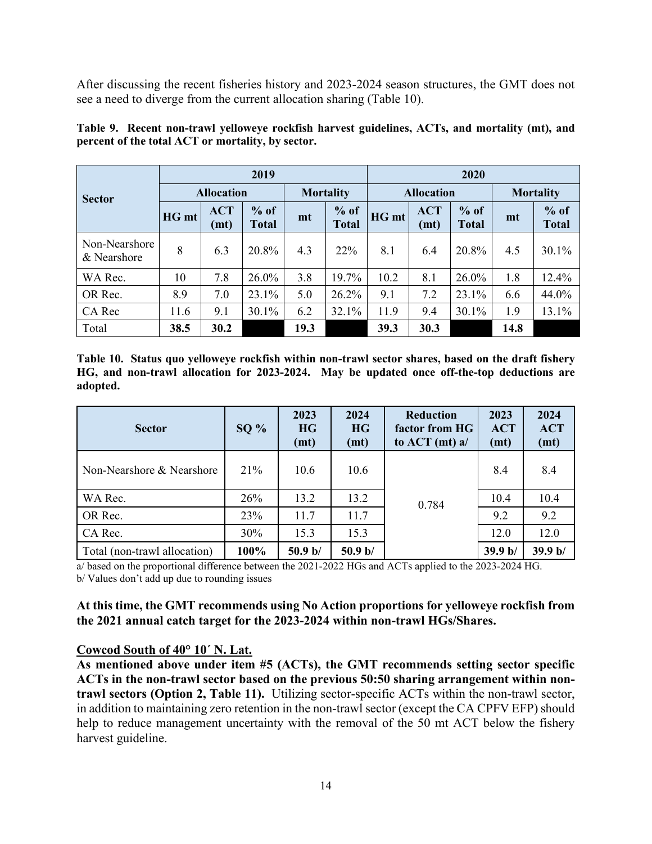After discussing the recent fisheries history and 2023-2024 season structures, the GMT does not see a need to diverge from the current allocation sharing [\(Table 10\)](#page-13-2).

|                              |                   |                    | 2019                   |                  |                        | 2020  |                    |                        |      |                        |
|------------------------------|-------------------|--------------------|------------------------|------------------|------------------------|-------|--------------------|------------------------|------|------------------------|
| <b>Sector</b>                | <b>Allocation</b> |                    |                        | <b>Mortality</b> |                        |       | <b>Allocation</b>  | <b>Mortality</b>       |      |                        |
|                              | HG mt             | <b>ACT</b><br>(mt) | $%$ of<br><b>Total</b> | mt               | $%$ of<br><b>Total</b> | HG mt | <b>ACT</b><br>(mt) | $%$ of<br><b>Total</b> | mt   | $%$ of<br><b>Total</b> |
| Non-Nearshore<br>& Nearshore | 8                 | 6.3                | 20.8%                  | 4.3              | 22%                    | 8.1   | 6.4                | 20.8%                  | 4.5  | $30.1\%$               |
| WA Rec.                      | 10                | 7.8                | 26.0%                  | 3.8              | 19.7%                  | 10.2  | 8.1                | 26.0%                  | 1.8  | 12.4%                  |
| OR Rec.                      | 8.9               | 7.0                | 23.1%                  | 5.0              | 26.2%                  | 9.1   | 7.2                | 23.1%                  | 6.6  | 44.0%                  |
| CA Rec                       | 11.6              | 9.1                | 30.1%                  | 6.2              | 32.1%                  | 11.9  | 9.4                | 30.1%                  | 1.9  | 13.1%                  |
| Total                        | 38.5              | 30.2               |                        | 19.3             |                        | 39.3  | 30.3               |                        | 14.8 |                        |

<span id="page-13-1"></span>**Table 9. Recent non-trawl yelloweye rockfish harvest guidelines, ACTs, and mortality (mt), and percent of the total ACT or mortality, by sector.** 

<span id="page-13-2"></span>**Table 10. Status quo yelloweye rockfish within non-trawl sector shares, based on the draft fishery HG, and non-trawl allocation for 2023-2024. May be updated once off-the-top deductions are adopted.**

| <b>Sector</b>                | $SO\%$ | 2023<br><b>HG</b><br>(mt) | 2024<br>HG<br>(mt) | <b>Reduction</b><br>factor from HG<br>to $ACT (mt) a/$ | 2023<br><b>ACT</b><br>(mt) | 2024<br><b>ACT</b><br>(mt) |
|------------------------------|--------|---------------------------|--------------------|--------------------------------------------------------|----------------------------|----------------------------|
| Non-Nearshore & Nearshore    | 21%    | 10.6                      | 10.6               |                                                        | 8.4                        | 8.4                        |
| WA Rec.                      | 26%    | 13.2                      | 13.2               | 0.784                                                  | 10.4                       | 10.4                       |
| OR Rec.                      | 23%    | 11.7                      | 11.7               |                                                        | 9.2                        | 9.2                        |
| CA Rec.                      | 30%    | 15.3                      | 15.3               |                                                        | 12.0                       | 12.0                       |
| Total (non-trawl allocation) | 100%   | 50.9 b/                   | 50.9 b/            |                                                        | 39.9 b/                    | 39.9 b/                    |

a/ based on the proportional difference between the 2021-2022 HGs and ACTs applied to the 2023-2024 HG. b/ Values don't add up due to rounding issues

### **At this time, the GMT recommends using No Action proportions for yelloweye rockfish from the 2021 annual catch target for the 2023-2024 within non-trawl HGs/Shares.**

### <span id="page-13-0"></span>**Cowcod South of 40° 10´ N. Lat.**

**As mentioned above under item #5 (ACTs), the GMT recommends setting sector specific ACTs in the non-trawl sector based on the previous 50:50 sharing arrangement within nontrawl sectors (Option 2, [Table](#page-14-2) 11).** Utilizing sector-specific ACTs within the non-trawl sector, in addition to maintaining zero retention in the non-trawl sector (except the CA CPFV EFP) should help to reduce management uncertainty with the removal of the 50 mt ACT below the fishery harvest guideline.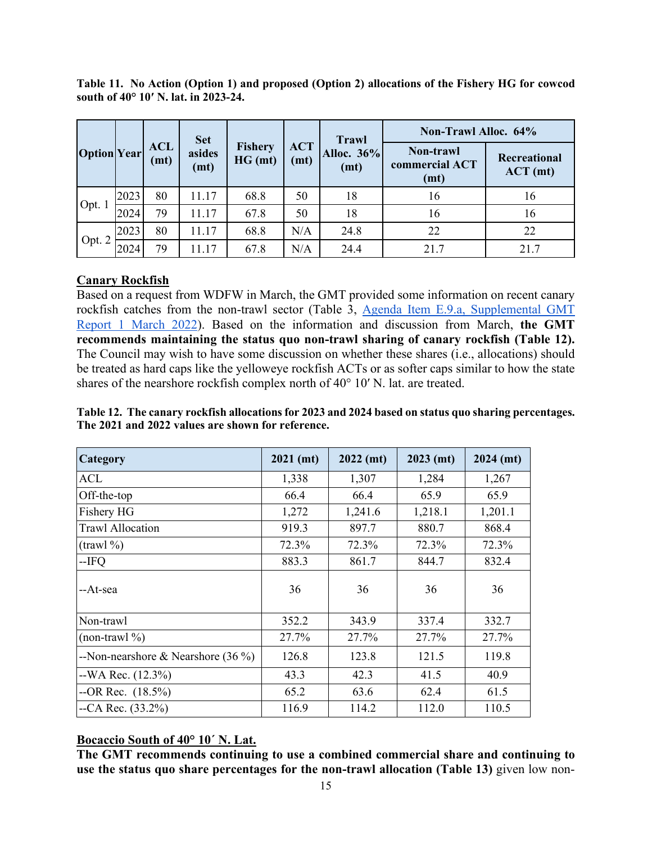<span id="page-14-2"></span>

|  |                                      | Table 11. No Action (Option 1) and proposed (Option 2) allocations of the Fishery HG for cowcod |  |  |  |
|--|--------------------------------------|-------------------------------------------------------------------------------------------------|--|--|--|
|  | south of 40° 10' N. lat. in 2023-24. |                                                                                                 |  |  |  |

|                    |      |                    | <b>Set</b>     |                           |                    | <b>Trawl</b>       | Non-Trawl Alloc. 64%                             |                          |
|--------------------|------|--------------------|----------------|---------------------------|--------------------|--------------------|--------------------------------------------------|--------------------------|
| <b>Option</b> Year |      | <b>ACL</b><br>(mt) | asides<br>(mt) | <b>Fishery</b><br>HG (mt) | <b>ACT</b><br>(mt) | Alloc. 36%<br>(mt) | Non-trawl<br>commercial ACT<br>(m <sub>t</sub> ) | Recreational<br>ACT (mt) |
|                    | 2023 | 80                 | 11.17          | 68.8                      | 50                 | 18                 | 16                                               | 16                       |
| Opt. 1             | 2024 | 79                 | 11.17          | 67.8                      | 50                 | 18                 | 16                                               | 16                       |
|                    | 2023 | 80                 | 11.17          | 68.8                      | N/A                | 24.8               | 22                                               | 22                       |
| Opt. 2             | 2024 | 79                 | 11.17          | 67.8                      | N/A                | 24.4               | 21.7                                             | 21.7                     |

### <span id="page-14-0"></span>**Canary Rockfish**

Based on a request from WDFW in March, the GMT provided some information on recent canary rockfish catches from the non-trawl sector (Table 3, [Agenda Item E.9.a, Supplemental GMT](https://www.pcouncil.org/documents/2022/03/e-9-a-supplemental-gmt-report-1.pdf/)  [Report 1 March 2022\)](https://www.pcouncil.org/documents/2022/03/e-9-a-supplemental-gmt-report-1.pdf/). Based on the information and discussion from March, **the GMT recommends maintaining the status quo non-trawl sharing of canary rockfish [\(Table](#page-14-3) 12).**  The Council may wish to have some discussion on whether these shares (i.e., allocations) should be treated as hard caps like the yelloweye rockfish ACTs or as softer caps similar to how the state shares of the nearshore rockfish complex north of 40° 10′ N. lat. are treated.

<span id="page-14-3"></span>

| Table 12. The canary rockfish allocations for 2023 and 2024 based on status quo sharing percentages. |
|------------------------------------------------------------------------------------------------------|
| The 2021 and 2022 values are shown for reference.                                                    |

| <b>Category</b>                      | $2021$ (mt) | $2022$ (mt) | $2023$ (mt) | $2024$ (mt) |
|--------------------------------------|-------------|-------------|-------------|-------------|
| ACL                                  | 1,338       | 1,307       | 1,284       | 1,267       |
| Off-the-top                          | 66.4        | 66.4        | 65.9        | 65.9        |
| Fishery HG                           | 1,272       | 1,241.6     | 1,218.1     | 1,201.1     |
| <b>Trawl Allocation</b>              | 919.3       | 897.7       | 880.7       | 868.4       |
| $(\text{trawl }\% )$                 | 72.3%       | 72.3%       | 72.3%       | 72.3%       |
| --IFQ                                | 883.3       | 861.7       | 844.7       | 832.4       |
| --At-sea                             | 36          | 36          | 36          | 36          |
| Non-trawl                            | 352.2       | 343.9       | 337.4       | 332.7       |
| $(non-trawl \%)$                     | 27.7%       | 27.7%       | 27.7%       | 27.7%       |
| --Non-nearshore & Nearshore $(36\%)$ | 126.8       | 123.8       | 121.5       | 119.8       |
| $-WA$ Rec. $(12.3\%)$                | 43.3        | 42.3        | 41.5        | 40.9        |
| $-OR$ Rec. $(18.5\%)$                | 65.2        | 63.6        | 62.4        | 61.5        |
| $-CA$ Rec. $(33.2\%)$                | 116.9       | 114.2       | 112.0       | 110.5       |

### <span id="page-14-1"></span>**Bocaccio South of 40° 10´ N. Lat.**

**The GMT recommends continuing to use a combined commercial share and continuing to use the status quo share percentages for the non-trawl allocation [\(Table](#page-15-1) 13)** given low non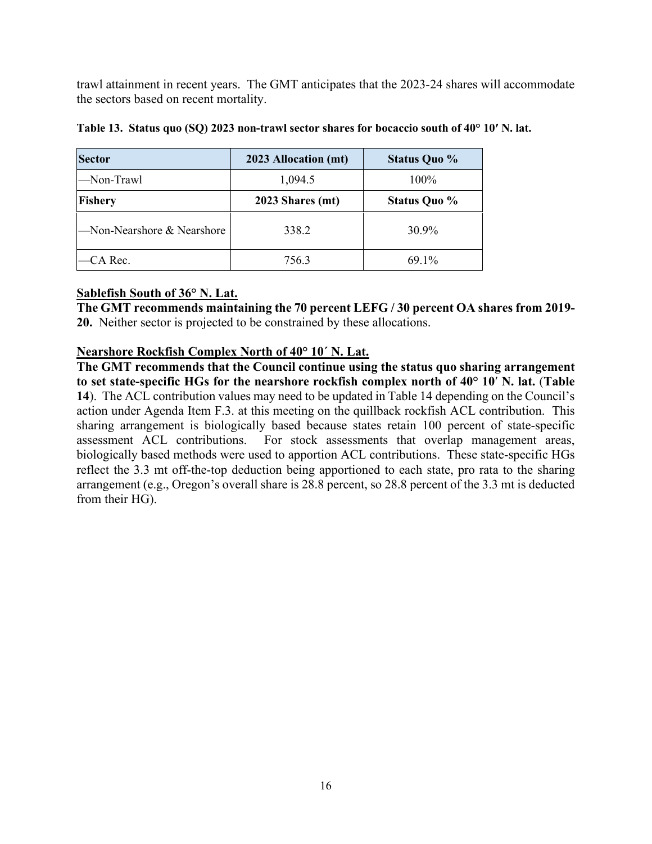trawl attainment in recent years. The GMT anticipates that the 2023-24 shares will accommodate the sectors based on recent mortality.

| <b>Sector</b>             | 2023 Allocation (mt) | <b>Status Quo %</b> |
|---------------------------|----------------------|---------------------|
| Non-Trawl                 | 1,094.5              | 100%                |
| Fishery                   | 2023 Shares (mt)     | <b>Status Quo %</b> |
| Non-Nearshore & Nearshore | 338.2                | 30.9%               |
| CA Rec.                   | 756.3                | $69.1\%$            |

<span id="page-15-1"></span>**Table 13. Status quo (SQ) 2023 non-trawl sector shares for bocaccio south of 40° 10′ N. lat.**

### <span id="page-15-0"></span>**Sablefish South of 36° N. Lat.**

**The GMT recommends maintaining the 70 percent LEFG / 30 percent OA shares from 2019- 20.** Neither sector is projected to be constrained by these allocations.

### **Nearshore Rockfish Complex North of 40° 10´ N. Lat.**

<span id="page-15-2"></span>**The GMT recommends that the Council continue using the status quo sharing arrangement to set state-specific HGs for the nearshore rockfish complex north of 40° 10**′ **N. lat.** (**[Table](#page-15-2)  [14](#page-15-2)**). The ACL contribution values may need to be updated i[n Table 14](#page-15-2) depending on the Council's action under Agenda Item F.3. at this meeting on the quillback rockfish ACL contribution. This sharing arrangement is biologically based because states retain 100 percent of state-specific assessment ACL contributions. For stock assessments that overlap management areas, For stock assessments that overlap management areas, biologically based methods were used to apportion ACL contributions. These state-specific HGs reflect the 3.3 mt off-the-top deduction being apportioned to each state, pro rata to the sharing arrangement (e.g., Oregon's overall share is 28.8 percent, so 28.8 percent of the 3.3 mt is deducted from their HG).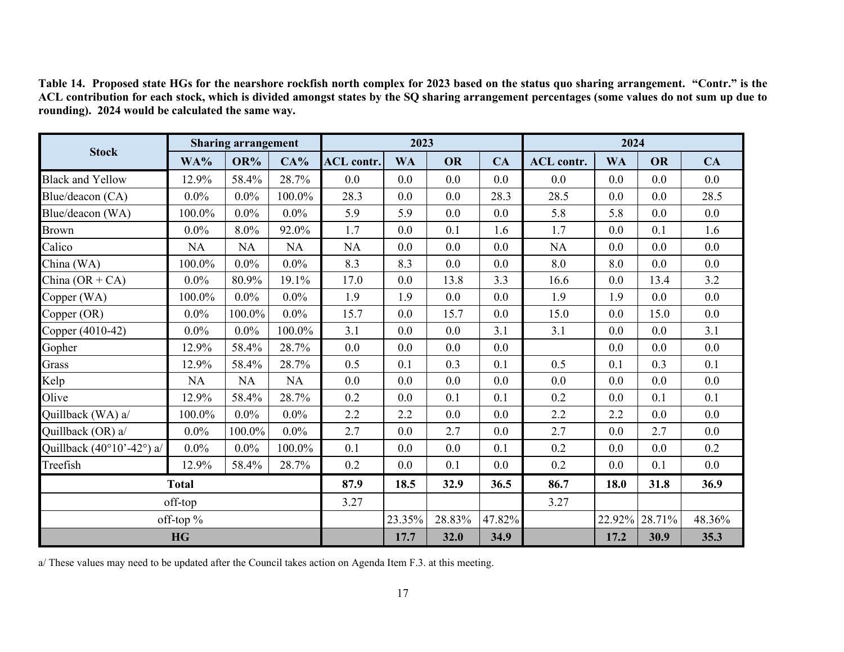|                                                    | <b>Sharing arrangement</b> |           |           |                   | 2023      |           |        | 2024              |           |           |         |
|----------------------------------------------------|----------------------------|-----------|-----------|-------------------|-----------|-----------|--------|-------------------|-----------|-----------|---------|
| <b>Stock</b>                                       | WA%                        | OR%       | CA%       | <b>ACL</b> contr. | <b>WA</b> | <b>OR</b> | CA     | <b>ACL</b> contr. | <b>WA</b> | <b>OR</b> | CA      |
| <b>Black and Yellow</b>                            | 12.9%                      | 58.4%     | 28.7%     | 0.0               | 0.0       | 0.0       | 0.0    | 0.0               | 0.0       | 0.0       | 0.0     |
| Blue/deacon (CA)                                   | $0.0\%$                    | $0.0\%$   | 100.0%    | 28.3              | 0.0       | 0.0       | 28.3   | 28.5              | 0.0       | 0.0       | 28.5    |
| Blue/deacon (WA)                                   | 100.0%                     | $0.0\%$   | $0.0\%$   | 5.9               | 5.9       | 0.0       | 0.0    | 5.8               | 5.8       | 0.0       | 0.0     |
| Brown                                              | $0.0\%$                    | 8.0%      | 92.0%     | 1.7               | 0.0       | 0.1       | 1.6    | 1.7               | 0.0       | 0.1       | 1.6     |
| Calico                                             | <b>NA</b>                  | <b>NA</b> | <b>NA</b> | <b>NA</b>         | 0.0       | 0.0       | 0.0    | NA                | 0.0       | 0.0       | 0.0     |
| China (WA)                                         | 100.0%                     | $0.0\%$   | $0.0\%$   | 8.3               | 8.3       | 0.0       | 0.0    | 8.0               | 8.0       | 0.0       | $0.0\,$ |
| China $(OR + CA)$                                  | $0.0\%$                    | 80.9%     | 19.1%     | 17.0              | 0.0       | 13.8      | 3.3    | 16.6              | 0.0       | 13.4      | 3.2     |
| Copper (WA)                                        | 100.0%                     | $0.0\%$   | $0.0\%$   | 1.9               | 1.9       | 0.0       | 0.0    | 1.9               | 1.9       | 0.0       | 0.0     |
| Copper (OR)                                        | $0.0\%$                    | 100.0%    | $0.0\%$   | 15.7              | 0.0       | 15.7      | 0.0    | 15.0              | 0.0       | 15.0      | 0.0     |
| Copper (4010-42)                                   | $0.0\%$                    | $0.0\%$   | 100.0%    | 3.1               | 0.0       | 0.0       | 3.1    | 3.1               | 0.0       | 0.0       | 3.1     |
| Gopher                                             | 12.9%                      | 58.4%     | 28.7%     | 0.0               | 0.0       | 0.0       | 0.0    |                   | 0.0       | 0.0       | 0.0     |
| Grass                                              | 12.9%                      | 58.4%     | 28.7%     | 0.5               | 0.1       | 0.3       | 0.1    | 0.5               | 0.1       | 0.3       | 0.1     |
| Kelp                                               | <b>NA</b>                  | NA        | <b>NA</b> | 0.0               | 0.0       | 0.0       | 0.0    | 0.0               | 0.0       | 0.0       | 0.0     |
| Olive                                              | 12.9%                      | 58.4%     | 28.7%     | 0.2               | 0.0       | 0.1       | 0.1    | 0.2               | 0.0       | 0.1       | 0.1     |
| Quillback (WA) a/                                  | 100.0%                     | $0.0\%$   | $0.0\%$   | 2.2               | 2.2       | 0.0       | 0.0    | 2.2               | 2.2       | 0.0       | 0.0     |
| Quillback (OR) a/                                  | $0.0\%$                    | 100.0%    | $0.0\%$   | 2.7               | 0.0       | 2.7       | 0.0    | 2.7               | 0.0       | 2.7       | $0.0\,$ |
| Quillback $(40^{\circ}10^{\circ} - 42^{\circ})$ a/ | $0.0\%$                    | $0.0\%$   | 100.0%    | 0.1               | 0.0       | 0.0       | 0.1    | 0.2               | 0.0       | 0.0       | 0.2     |
| Treefish                                           | 12.9%                      | 58.4%     | 28.7%     | 0.2               | 0.0       | 0.1       | 0.0    | 0.2               | 0.0       | 0.1       | 0.0     |
| <b>Total</b>                                       |                            |           | 87.9      | 18.5              | 32.9      | 36.5      | 86.7   | 18.0              | 31.8      | 36.9      |         |
| off-top                                            |                            |           | 3.27      |                   |           |           | 3.27   |                   |           |           |         |
|                                                    | off-top %                  |           |           |                   | 23.35%    | 28.83%    | 47.82% |                   | 22.92%    | 28.71%    | 48.36%  |
|                                                    | <b>HG</b>                  |           |           |                   | 17.7      | 32.0      | 34.9   |                   | 17.2      | 30.9      | 35.3    |

**Table 14. Proposed state HGs for the nearshore rockfish north complex for 2023 based on the status quo sharing arrangement. "Contr." is the ACL contribution for each stock, which is divided amongst states by the SQ sharing arrangement percentages (some values do not sum up due to rounding). 2024 would be calculated the same way.**

a/ These values may need to be updated after the Council takes action on Agenda Item F.3. at this meeting.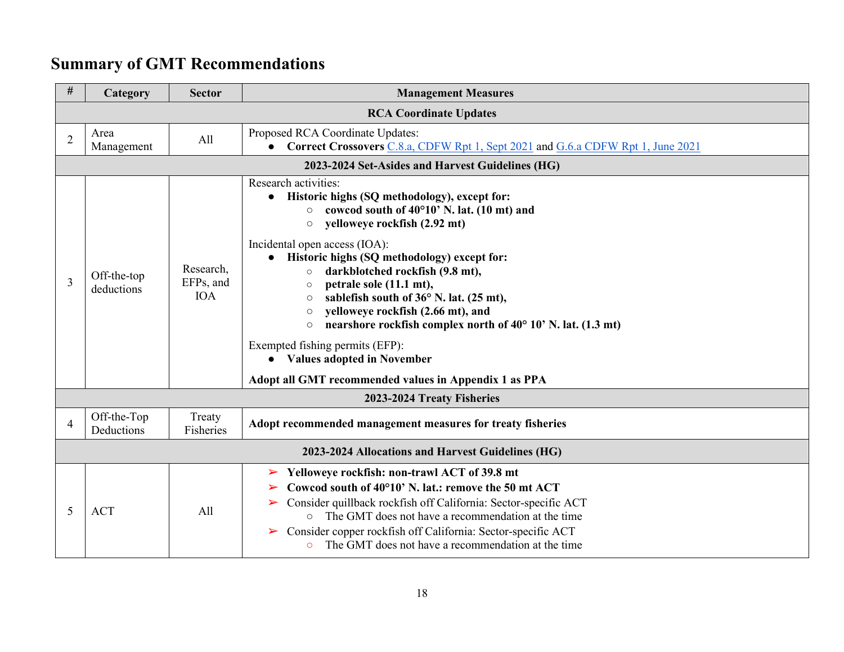# **Summary of GMT Recommendations**

<span id="page-17-0"></span>

| $\#$           | Category                                         | <b>Sector</b>                        | <b>Management Measures</b>                                                                                                                                                                                                                                                                                                                                                                                                                                                                                                                   |  |  |  |  |  |  |
|----------------|--------------------------------------------------|--------------------------------------|----------------------------------------------------------------------------------------------------------------------------------------------------------------------------------------------------------------------------------------------------------------------------------------------------------------------------------------------------------------------------------------------------------------------------------------------------------------------------------------------------------------------------------------------|--|--|--|--|--|--|
|                |                                                  |                                      | <b>RCA Coordinate Updates</b>                                                                                                                                                                                                                                                                                                                                                                                                                                                                                                                |  |  |  |  |  |  |
| $\overline{2}$ | Area<br>Management                               | A11                                  | Proposed RCA Coordinate Updates:<br><b>Correct Crossovers</b> C.8.a, CDFW Rpt 1, Sept 2021 and G.6.a CDFW Rpt 1, June 2021                                                                                                                                                                                                                                                                                                                                                                                                                   |  |  |  |  |  |  |
|                | 2023-2024 Set-Asides and Harvest Guidelines (HG) |                                      |                                                                                                                                                                                                                                                                                                                                                                                                                                                                                                                                              |  |  |  |  |  |  |
| 3              | Off-the-top<br>deductions                        | Research,<br>EFPs, and<br><b>IOA</b> | Research activities:<br>Historic highs (SQ methodology), except for:<br>$\bullet$<br>$\circ$ cowcod south of 40°10' N. lat. (10 mt) and<br>yelloweye rockfish (2.92 mt)<br>$\bigcirc$<br>Incidental open access (IOA):<br>• Historic highs (SQ methodology) except for:<br>darkblotched rockfish (9.8 mt),<br>$\circ$<br>petrale sole (11.1 mt),<br>$\circ$<br>sablefish south of 36° N. lat. (25 mt),<br>$\circ$<br>yelloweye rockfish (2.66 mt), and<br>$\circ$<br>nearshore rockfish complex north of 40° 10' N. lat. (1.3 mt)<br>$\circ$ |  |  |  |  |  |  |
|                |                                                  |                                      | Exempted fishing permits (EFP):<br>• Values adopted in November<br>Adopt all GMT recommended values in Appendix 1 as PPA                                                                                                                                                                                                                                                                                                                                                                                                                     |  |  |  |  |  |  |
|                |                                                  |                                      | 2023-2024 Treaty Fisheries                                                                                                                                                                                                                                                                                                                                                                                                                                                                                                                   |  |  |  |  |  |  |
| 4              | Off-the-Top<br>Deductions                        | Treaty<br>Fisheries                  | Adopt recommended management measures for treaty fisheries                                                                                                                                                                                                                                                                                                                                                                                                                                                                                   |  |  |  |  |  |  |
|                |                                                  |                                      | 2023-2024 Allocations and Harvest Guidelines (HG)                                                                                                                                                                                                                                                                                                                                                                                                                                                                                            |  |  |  |  |  |  |
| 5              | <b>ACT</b>                                       | A11                                  | Yelloweye rockfish: non-trawl ACT of 39.8 mt<br>➤<br>Cowcod south of 40°10' N. lat.: remove the 50 mt ACT<br>$\blacktriangleright$<br>Consider quillback rockfish off California: Sector-specific ACT<br>➤<br>The GMT does not have a recommendation at the time<br>$\circ$<br>Consider copper rockfish off California: Sector-specific ACT<br>$\blacktriangleright$<br>• The GMT does not have a recommendation at the time                                                                                                                 |  |  |  |  |  |  |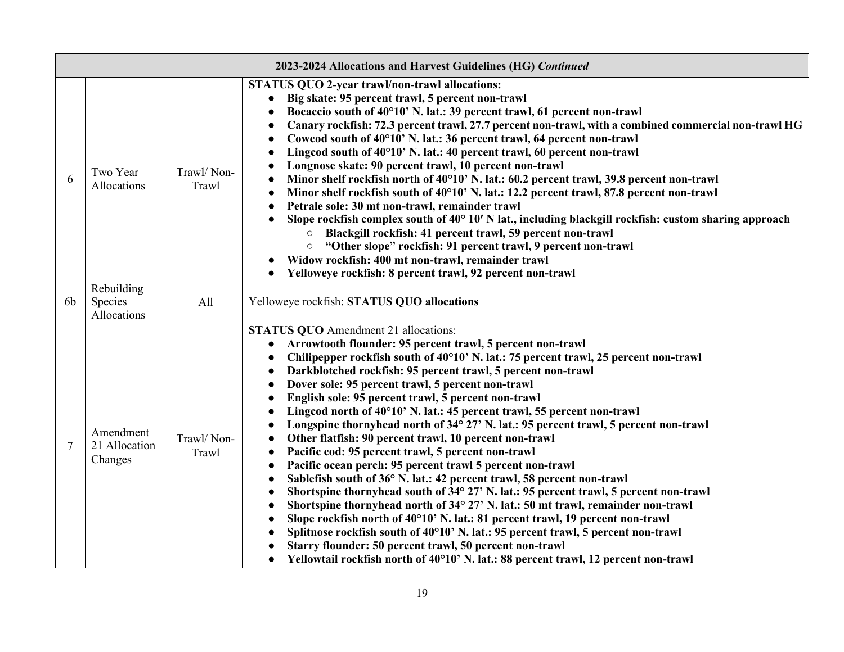|                | 2023-2024 Allocations and Harvest Guidelines (HG) Continued |                     |                                                                                                                                                                                                                                                                                                                                                                                                                                                                                                                                                                                                                                                                                                                                                                                                                                                                                                                                                                                                                                                                                                                                                                                                                                                                                                                                                                                                          |  |  |  |  |  |  |
|----------------|-------------------------------------------------------------|---------------------|----------------------------------------------------------------------------------------------------------------------------------------------------------------------------------------------------------------------------------------------------------------------------------------------------------------------------------------------------------------------------------------------------------------------------------------------------------------------------------------------------------------------------------------------------------------------------------------------------------------------------------------------------------------------------------------------------------------------------------------------------------------------------------------------------------------------------------------------------------------------------------------------------------------------------------------------------------------------------------------------------------------------------------------------------------------------------------------------------------------------------------------------------------------------------------------------------------------------------------------------------------------------------------------------------------------------------------------------------------------------------------------------------------|--|--|--|--|--|--|
| 6              | Two Year<br>Allocations                                     | Trawl/Non-<br>Trawl | STATUS QUO 2-year trawl/non-trawl allocations:<br>Big skate: 95 percent trawl, 5 percent non-trawl<br>Bocaccio south of 40°10' N. lat.: 39 percent trawl, 61 percent non-trawl<br>$\bullet$<br>Canary rockfish: 72.3 percent trawl, 27.7 percent non-trawl, with a combined commercial non-trawl HG<br>$\bullet$<br>Cowcod south of 40°10' N. lat.: 36 percent trawl, 64 percent non-trawl<br>$\bullet$<br>Lingcod south of 40°10' N. lat.: 40 percent trawl, 60 percent non-trawl<br>Longnose skate: 90 percent trawl, 10 percent non-trawl<br>Minor shelf rockfish north of 40°10' N. lat.: 60.2 percent trawl, 39.8 percent non-trawl<br>Minor shelf rockfish south of 40°10' N. lat.: 12.2 percent trawl, 87.8 percent non-trawl<br>Petrale sole: 30 mt non-trawl, remainder trawl<br>Slope rockfish complex south of 40° 10' N lat., including blackgill rockfish: custom sharing approach<br>Blackgill rockfish: 41 percent trawl, 59 percent non-trawl<br>"Other slope" rockfish: 91 percent trawl, 9 percent non-trawl<br>$\bigcirc$<br>Widow rockfish: 400 mt non-trawl, remainder trawl<br>Yelloweye rockfish: 8 percent trawl, 92 percent non-trawl                                                                                                                                                                                                                                           |  |  |  |  |  |  |
| 6 <sub>b</sub> | Rebuilding<br>Species<br>Allocations                        | All                 | Yelloweye rockfish: STATUS QUO allocations                                                                                                                                                                                                                                                                                                                                                                                                                                                                                                                                                                                                                                                                                                                                                                                                                                                                                                                                                                                                                                                                                                                                                                                                                                                                                                                                                               |  |  |  |  |  |  |
| 7              | Amendment<br>21 Allocation<br>Changes                       | Trawl/Non-<br>Trawl | <b>STATUS QUO</b> Amendment 21 allocations:<br>Arrowtooth flounder: 95 percent trawl, 5 percent non-trawl<br>$\bullet$<br>Chilipepper rockfish south of 40°10' N. lat.: 75 percent trawl, 25 percent non-trawl<br>Darkblotched rockfish: 95 percent trawl, 5 percent non-trawl<br>Dover sole: 95 percent trawl, 5 percent non-trawl<br>English sole: 95 percent trawl, 5 percent non-trawl<br>Lingcod north of 40°10' N. lat.: 45 percent trawl, 55 percent non-trawl<br>Longspine thornyhead north of 34° 27' N. lat.: 95 percent trawl, 5 percent non-trawl<br>Other flatfish: 90 percent trawl, 10 percent non-trawl<br>$\bullet$<br>Pacific cod: 95 percent trawl, 5 percent non-trawl<br>$\bullet$<br>Pacific ocean perch: 95 percent trawl 5 percent non-trawl<br>Sablefish south of 36° N. lat.: 42 percent trawl, 58 percent non-trawl<br>$\bullet$<br>Shortspine thornyhead south of 34° 27' N. lat.: 95 percent trawl, 5 percent non-trawl<br>$\bullet$<br>Shortspine thornyhead north of 34° 27' N. lat.: 50 mt trawl, remainder non-trawl<br>$\bullet$<br>Slope rockfish north of 40°10' N. lat.: 81 percent trawl, 19 percent non-trawl<br>Splitnose rockfish south of 40°10' N. lat.: 95 percent trawl, 5 percent non-trawl<br>Starry flounder: 50 percent trawl, 50 percent non-trawl<br>Yellowtail rockfish north of 40°10' N. lat.: 88 percent trawl, 12 percent non-trawl<br>$\bullet$ |  |  |  |  |  |  |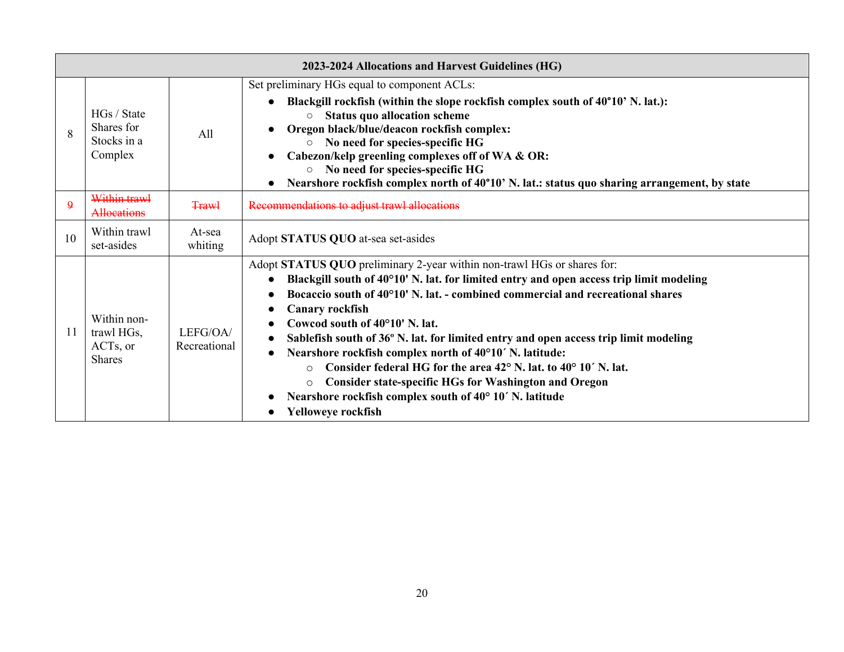|              | 2023-2024 Allocations and Harvest Guidelines (HG)      |                          |                                                                                                                                                                                                                                                                                                                                                                                                                                                                                                                                                                                                                                                                                                                                                     |  |  |  |  |  |  |
|--------------|--------------------------------------------------------|--------------------------|-----------------------------------------------------------------------------------------------------------------------------------------------------------------------------------------------------------------------------------------------------------------------------------------------------------------------------------------------------------------------------------------------------------------------------------------------------------------------------------------------------------------------------------------------------------------------------------------------------------------------------------------------------------------------------------------------------------------------------------------------------|--|--|--|--|--|--|
| 8            | HGs / State<br>Shares for<br>Stocks in a<br>Complex    | All                      | Set preliminary HGs equal to component ACLs:<br>Blackgill rockfish (within the slope rockfish complex south of 40°10' N. lat.):<br>$\bullet$<br><b>Status quo allocation scheme</b><br>$\circ$<br>Oregon black/blue/deacon rockfish complex:<br>No need for species-specific HG<br>$\circ$<br>Cabezon/kelp greenling complexes off of WA & OR:<br>No need for species-specific HG<br>$\circ$<br>Nearshore rockfish complex north of 40°10' N. lat.: status quo sharing arrangement, by state                                                                                                                                                                                                                                                        |  |  |  |  |  |  |
| $\mathbf{9}$ | Within trawl<br>Allocations                            | <b>Trawl</b>             | Recommendations to adjust trawl allocations                                                                                                                                                                                                                                                                                                                                                                                                                                                                                                                                                                                                                                                                                                         |  |  |  |  |  |  |
| 10           | Within trawl<br>set-asides                             | At-sea<br>whiting        | Adopt STATUS QUO at-sea set-asides                                                                                                                                                                                                                                                                                                                                                                                                                                                                                                                                                                                                                                                                                                                  |  |  |  |  |  |  |
| 11           | Within non-<br>trawl HGs,<br>ACTs, or<br><b>Shares</b> | LEFG/OA/<br>Recreational | Adopt STATUS QUO preliminary 2-year within non-trawl HGs or shares for:<br>Blackgill south of 40°10' N. lat. for limited entry and open access trip limit modeling<br>Bocaccio south of 40°10' N. lat. - combined commercial and recreational shares<br><b>Canary rockfish</b><br>$\bullet$<br>Cowcod south of 40°10' N. lat.<br>Sablefish south of 36° N. lat. for limited entry and open access trip limit modeling<br>Nearshore rockfish complex north of 40°10' N. latitude:<br>Consider federal HG for the area 42 <sup>°</sup> N. lat. to 40 <sup>°</sup> 10′ N. lat.<br>$\Omega$<br><b>Consider state-specific HGs for Washington and Oregon</b><br>$\circ$<br>Nearshore rockfish complex south of 40° 10' N. latitude<br>Yelloweye rockfish |  |  |  |  |  |  |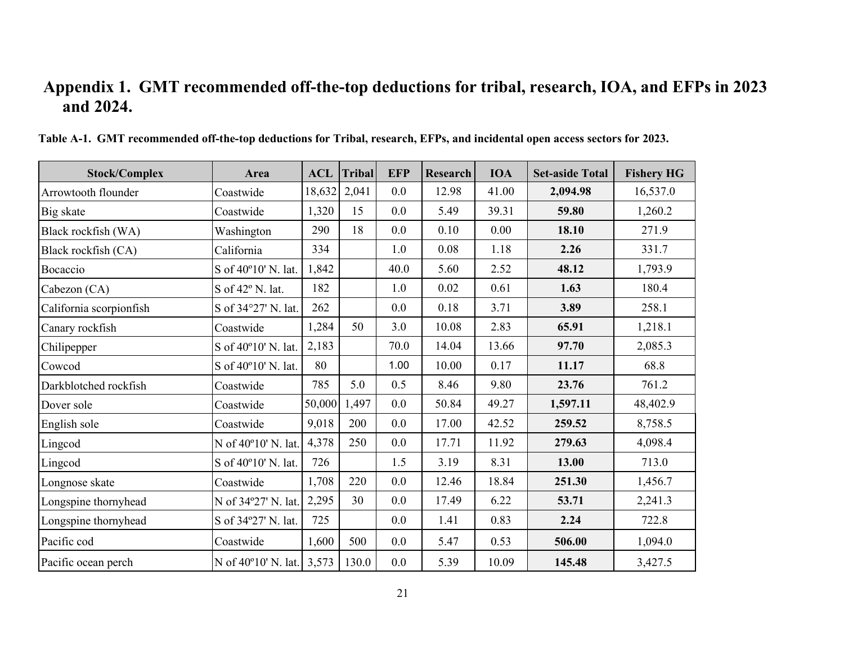# **Appendix 1. GMT recommended off-the-top deductions for tribal, research, IOA, and EFPs in 2023 and 2024.**

<span id="page-20-0"></span>

| <b>Stock/Complex</b>    | Area                | <b>ACL</b> | <b>Tribal</b> | <b>EFP</b> | <b>Research</b> | <b>IOA</b> | <b>Set-aside Total</b> | <b>Fishery HG</b> |
|-------------------------|---------------------|------------|---------------|------------|-----------------|------------|------------------------|-------------------|
| Arrowtooth flounder     | Coastwide           | 18,632     | 2,041         | 0.0        | 12.98           | 41.00      | 2,094.98               | 16,537.0          |
| Big skate               | Coastwide           | 1,320      | 15            | 0.0        | 5.49            | 39.31      | 59.80                  | 1,260.2           |
| Black rockfish (WA)     | Washington          | 290        | 18            | 0.0        | 0.10            | 0.00       | 18.10                  | 271.9             |
| Black rockfish (CA)     | California          | 334        |               | 1.0        | 0.08            | 1.18       | 2.26                   | 331.7             |
| Bocaccio                | S of 40°10' N. lat. | 1,842      |               | 40.0       | 5.60            | 2.52       | 48.12                  | 1,793.9           |
| Cabezon (CA)            | S of 42° N. lat.    | 182        |               | 1.0        | 0.02            | 0.61       | 1.63                   | 180.4             |
| California scorpionfish | S of 34°27' N. lat. | 262        |               | 0.0        | 0.18            | 3.71       | 3.89                   | 258.1             |
| Canary rockfish         | Coastwide           | 1,284      | 50            | 3.0        | 10.08           | 2.83       | 65.91                  | 1,218.1           |
| Chilipepper             | S of 40°10' N. lat. | 2,183      |               | 70.0       | 14.04           | 13.66      | 97.70                  | 2,085.3           |
| Cowcod                  | S of 40°10' N. lat. | 80         |               | 1.00       | 10.00           | 0.17       | 11.17                  | 68.8              |
| Darkblotched rockfish   | Coastwide           | 785        | 5.0           | 0.5        | 8.46            | 9.80       | 23.76                  | 761.2             |
| Dover sole              | Coastwide           | 50,000     | 1,497         | 0.0        | 50.84           | 49.27      | 1,597.11               | 48,402.9          |
| English sole            | Coastwide           | 9,018      | 200           | 0.0        | 17.00           | 42.52      | 259.52                 | 8,758.5           |
| Lingcod                 | N of 40°10' N. lat. | 4,378      | 250           | 0.0        | 17.71           | 11.92      | 279.63                 | 4,098.4           |
| Lingcod                 | S of 40°10' N. lat. | 726        |               | 1.5        | 3.19            | 8.31       | 13.00                  | 713.0             |
| Longnose skate          | Coastwide           | 1,708      | 220           | 0.0        | 12.46           | 18.84      | 251.30                 | 1,456.7           |
| Longspine thornyhead    | N of 34°27' N. lat. | 2,295      | 30            | 0.0        | 17.49           | 6.22       | 53.71                  | 2,241.3           |
| Longspine thornyhead    | S of 34°27' N. lat. | 725        |               | 0.0        | 1.41            | 0.83       | 2.24                   | 722.8             |
| Pacific cod             | Coastwide           | 1,600      | 500           | 0.0        | 5.47            | 0.53       | 506.00                 | 1,094.0           |
| Pacific ocean perch     | N of 40°10' N. lat. | 3,573      | 130.0         | 0.0        | 5.39            | 10.09      | 145.48                 | 3,427.5           |

**Table A-1. GMT recommended off-the-top deductions for Tribal, research, EFPs, and incidental open access sectors for 2023.**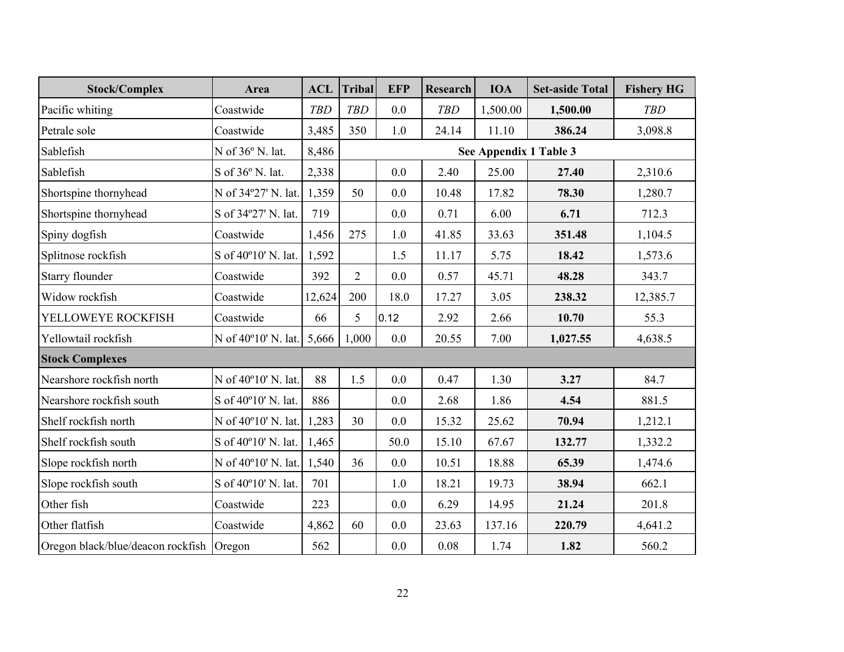| <b>Stock/Complex</b>                     | Area                | <b>ACL</b> | <b>Tribal</b>  | <b>EFP</b> | Research   | <b>IOA</b>             | <b>Set-aside Total</b> | <b>Fishery HG</b> |
|------------------------------------------|---------------------|------------|----------------|------------|------------|------------------------|------------------------|-------------------|
| Pacific whiting                          | Coastwide           | <b>TBD</b> | <b>TBD</b>     | 0.0        | <b>TBD</b> | 1,500.00               | 1,500.00               | <b>TBD</b>        |
| Petrale sole                             | Coastwide           | 3,485      | 350            | 1.0        | 24.14      | 11.10                  | 386.24                 | 3,098.8           |
| Sablefish                                | N of 36° N. lat.    | 8,486      |                |            |            | See Appendix 1 Table 3 |                        |                   |
| Sablefish                                | S of 36° N. lat.    | 2,338      |                | 0.0        | 2.40       | 25.00                  | 27.40                  | 2,310.6           |
| Shortspine thornyhead                    | N of 34°27' N. lat. | 1,359      | 50             | 0.0        | 10.48      | 17.82                  | 78.30                  | 1,280.7           |
| Shortspine thornyhead                    | S of 34°27' N. lat. | 719        |                | 0.0        | 0.71       | 6.00                   | 6.71                   | 712.3             |
| Spiny dogfish                            | Coastwide           | 1,456      | 275            | 1.0        | 41.85      | 33.63                  | 351.48                 | 1,104.5           |
| Splitnose rockfish                       | S of 40°10' N. lat. | 1,592      |                | 1.5        | 11.17      | 5.75                   | 18.42                  | 1,573.6           |
| Starry flounder                          | Coastwide           | 392        | $\overline{2}$ | 0.0        | 0.57       | 45.71                  | 48.28                  | 343.7             |
| Widow rockfish                           | Coastwide           | 12,624     | 200            | 18.0       | 17.27      | 3.05                   | 238.32                 | 12,385.7          |
| YELLOWEYE ROCKFISH                       | Coastwide           | 66         | 5              | 0.12       | 2.92       | 2.66                   | 10.70                  | 55.3              |
| Yellowtail rockfish                      | N of 40°10' N. lat. | 5,666      | 1,000          | 0.0        | 20.55      | 7.00                   | 1,027.55               | 4,638.5           |
| <b>Stock Complexes</b>                   |                     |            |                |            |            |                        |                        |                   |
| Nearshore rockfish north                 | N of 40°10' N. lat. | 88         | 1.5            | 0.0        | 0.47       | 1.30                   | 3.27                   | 84.7              |
| Nearshore rockfish south                 | S of 40°10' N. lat. | 886        |                | 0.0        | 2.68       | 1.86                   | 4.54                   | 881.5             |
| Shelf rockfish north                     | N of 40°10' N. lat. | 1,283      | 30             | 0.0        | 15.32      | 25.62                  | 70.94                  | 1,212.1           |
| Shelf rockfish south                     | S of 40°10' N. lat. | 1,465      |                | 50.0       | 15.10      | 67.67                  | 132.77                 | 1,332.2           |
| Slope rockfish north                     | N of 40°10' N. lat. | 1,540      | 36             | 0.0        | 10.51      | 18.88                  | 65.39                  | 1,474.6           |
| Slope rockfish south                     | S of 40°10' N. lat. | 701        |                | 1.0        | 18.21      | 19.73                  | 38.94                  | 662.1             |
| Other fish                               | Coastwide           | 223        |                | 0.0        | 6.29       | 14.95                  | 21.24                  | 201.8             |
| Other flatfish                           | Coastwide           | 4,862      | 60             | 0.0        | 23.63      | 137.16                 | 220.79                 | 4,641.2           |
| Oregon black/blue/deacon rockfish Oregon |                     | 562        |                | 0.0        | 0.08       | 1.74                   | 1.82                   | 560.2             |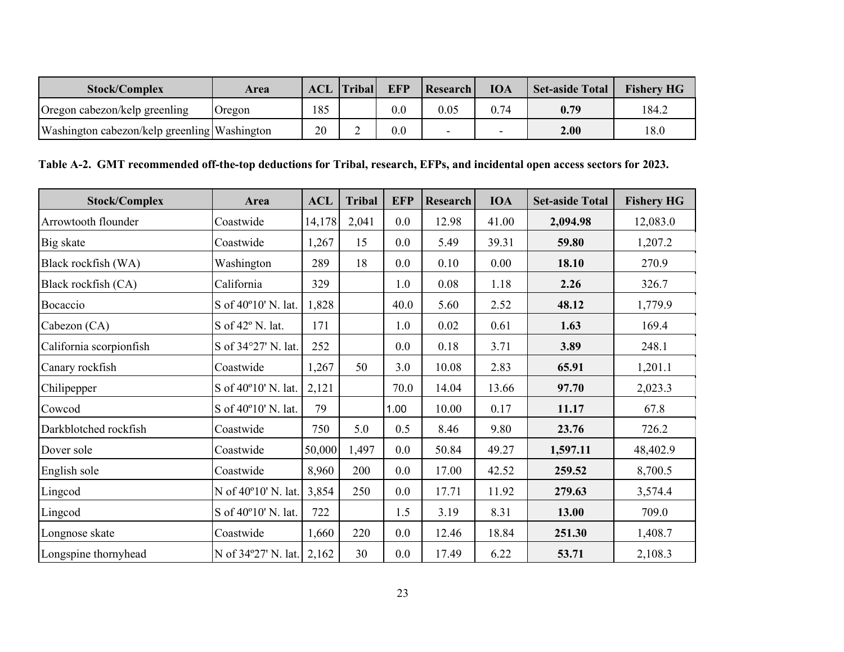| <b>Stock/Complex</b>                         | Area          | <b>ACL</b> | <b>Tribal</b> | <b>EFP</b> | Research | <b>IOA</b> | <b>Set-aside Total</b> | <b>Fishery HG</b> |
|----------------------------------------------|---------------|------------|---------------|------------|----------|------------|------------------------|-------------------|
| Oregon cabezon/kelp greenling                | <b>Oregon</b> | 185        |               | 0.0        | 0.05     | ${0.74}$   | 0.79                   | 184.2             |
| Washington cabezon/kelp greenling Washington |               | 20         |               | $0.0\,$    |          |            | 2.00                   | 18.0              |

### **Table A-2. GMT recommended off-the-top deductions for Tribal, research, EFPs, and incidental open access sectors for 2023.**

| <b>Stock/Complex</b>    | Area                | <b>ACL</b> | <b>Tribal</b> | <b>EFP</b> | <b>Research</b> | <b>IOA</b> | <b>Set-aside Total</b> | <b>Fishery HG</b> |
|-------------------------|---------------------|------------|---------------|------------|-----------------|------------|------------------------|-------------------|
| Arrowtooth flounder     | Coastwide           | 14,178     | 2,041         | 0.0        | 12.98           | 41.00      | 2,094.98               | 12,083.0          |
| Big skate               | Coastwide           | 1,267      | 15            | 0.0        | 5.49            | 39.31      | 59.80                  | 1,207.2           |
| Black rockfish (WA)     | Washington          | 289        | 18            | 0.0        | 0.10            | 0.00       | 18.10                  | 270.9             |
| Black rockfish (CA)     | California          | 329        |               | 1.0        | 0.08            | 1.18       | 2.26                   | 326.7             |
| Bocaccio                | S of 40°10' N. lat. | 1,828      |               | 40.0       | 5.60            | 2.52       | 48.12                  | 1,779.9           |
| Cabezon (CA)            | S of 42° N. lat.    | 171        |               | 1.0        | 0.02            | 0.61       | 1.63                   | 169.4             |
| California scorpionfish | S of 34°27' N. lat. | 252        |               | 0.0        | 0.18            | 3.71       | 3.89                   | 248.1             |
| Canary rockfish         | Coastwide           | 1,267      | 50            | 3.0        | 10.08           | 2.83       | 65.91                  | 1,201.1           |
| Chilipepper             | S of 40°10' N. lat. | 2,121      |               | 70.0       | 14.04           | 13.66      | 97.70                  | 2,023.3           |
| Cowcod                  | S of 40°10' N. lat. | 79         |               | 1.00       | 10.00           | 0.17       | 11.17                  | 67.8              |
| Darkblotched rockfish   | Coastwide           | 750        | 5.0           | 0.5        | 8.46            | 9.80       | 23.76                  | 726.2             |
| Dover sole              | Coastwide           | 50,000     | 1,497         | 0.0        | 50.84           | 49.27      | 1,597.11               | 48,402.9          |
| English sole            | Coastwide           | 8,960      | 200           | 0.0        | 17.00           | 42.52      | 259.52                 | 8,700.5           |
| Lingcod                 | N of 40°10' N. lat. | 3,854      | 250           | 0.0        | 17.71           | 11.92      | 279.63                 | 3,574.4           |
| Lingcod                 | S of 40°10' N. lat. | 722        |               | 1.5        | 3.19            | 8.31       | 13.00                  | 709.0             |
| Longnose skate          | Coastwide           | 1,660      | 220           | 0.0        | 12.46           | 18.84      | 251.30                 | 1,408.7           |
| Longspine thornyhead    | N of 34°27' N. lat. | 2,162      | 30            | 0.0        | 17.49           | 6.22       | 53.71                  | 2,108.3           |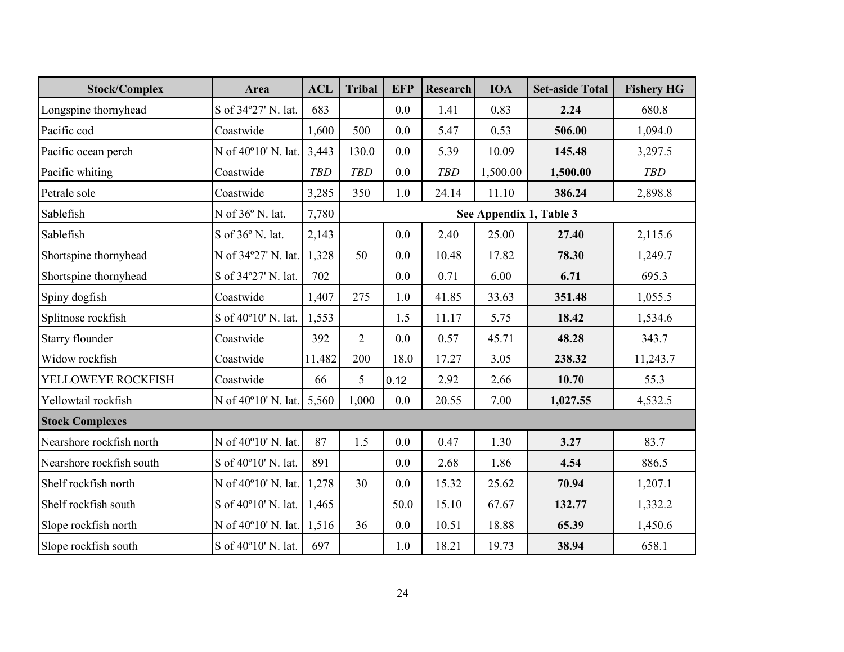| <b>Stock/Complex</b>     | Area                      | <b>ACL</b> | <b>Tribal</b>  | <b>EFP</b> | Research   | <b>IOA</b> | <b>Set-aside Total</b>  | <b>Fishery HG</b> |
|--------------------------|---------------------------|------------|----------------|------------|------------|------------|-------------------------|-------------------|
| Longspine thornyhead     | S of 34°27' N. lat.       | 683        |                | 0.0        | 1.41       | 0.83       | 2.24                    | 680.8             |
| Pacific cod              | Coastwide                 | 1,600      | 500            | 0.0        | 5.47       | 0.53       | 506.00                  | 1,094.0           |
| Pacific ocean perch      | N of 40°10' N. lat.       | 3,443      | 130.0          | 0.0        | 5.39       | 10.09      | 145.48                  | 3,297.5           |
| Pacific whiting          | Coastwide                 | <b>TBD</b> | <b>TBD</b>     | 0.0        | <b>TBD</b> | 1,500.00   | 1,500.00                | <b>TBD</b>        |
| Petrale sole             | Coastwide                 | 3,285      | 350            | 1.0        | 24.14      | 11.10      | 386.24                  | 2,898.8           |
| Sablefish                | N of 36° N. lat.          | 7,780      |                |            |            |            | See Appendix 1, Table 3 |                   |
| Sablefish                | S of $36^{\circ}$ N. lat. | 2,143      |                | 0.0        | 2.40       | 25.00      | 27.40                   | 2,115.6           |
| Shortspine thornyhead    | N of 34°27' N. lat.       | 1,328      | 50             | 0.0        | 10.48      | 17.82      | 78.30                   | 1,249.7           |
| Shortspine thornyhead    | S of 34°27' N. lat.       | 702        |                | 0.0        | 0.71       | 6.00       | 6.71                    | 695.3             |
| Spiny dogfish            | Coastwide                 | 1,407      | 275            | 1.0        | 41.85      | 33.63      | 351.48                  | 1,055.5           |
| Splitnose rockfish       | S of 40°10' N. lat.       | 1,553      |                | 1.5        | 11.17      | 5.75       | 18.42                   | 1,534.6           |
| Starry flounder          | Coastwide                 | 392        | $\overline{2}$ | 0.0        | 0.57       | 45.71      | 48.28                   | 343.7             |
| Widow rockfish           | Coastwide                 | 11,482     | 200            | 18.0       | 17.27      | 3.05       | 238.32                  | 11,243.7          |
| YELLOWEYE ROCKFISH       | Coastwide                 | 66         | 5              | 0.12       | 2.92       | 2.66       | 10.70                   | 55.3              |
| Yellowtail rockfish      | N of 40°10' N. lat.       | 5,560      | 1,000          | 0.0        | 20.55      | 7.00       | 1,027.55                | 4,532.5           |
| <b>Stock Complexes</b>   |                           |            |                |            |            |            |                         |                   |
| Nearshore rockfish north | N of 40°10' N. lat.       | 87         | 1.5            | 0.0        | 0.47       | 1.30       | 3.27                    | 83.7              |
| Nearshore rockfish south | S of 40°10' N. lat.       | 891        |                | 0.0        | 2.68       | 1.86       | 4.54                    | 886.5             |
| Shelf rockfish north     | N of 40°10' N. lat.       | 1,278      | 30             | 0.0        | 15.32      | 25.62      | 70.94                   | 1,207.1           |
| Shelf rockfish south     | S of 40°10' N. lat.       | 1,465      |                | 50.0       | 15.10      | 67.67      | 132.77                  | 1,332.2           |
| Slope rockfish north     | N of 40°10' N. lat.       | 1,516      | 36             | 0.0        | 10.51      | 18.88      | 65.39                   | 1,450.6           |
| Slope rockfish south     | S of 40°10' N. lat.       | 697        |                | 1.0        | 18.21      | 19.73      | 38.94                   | 658.1             |